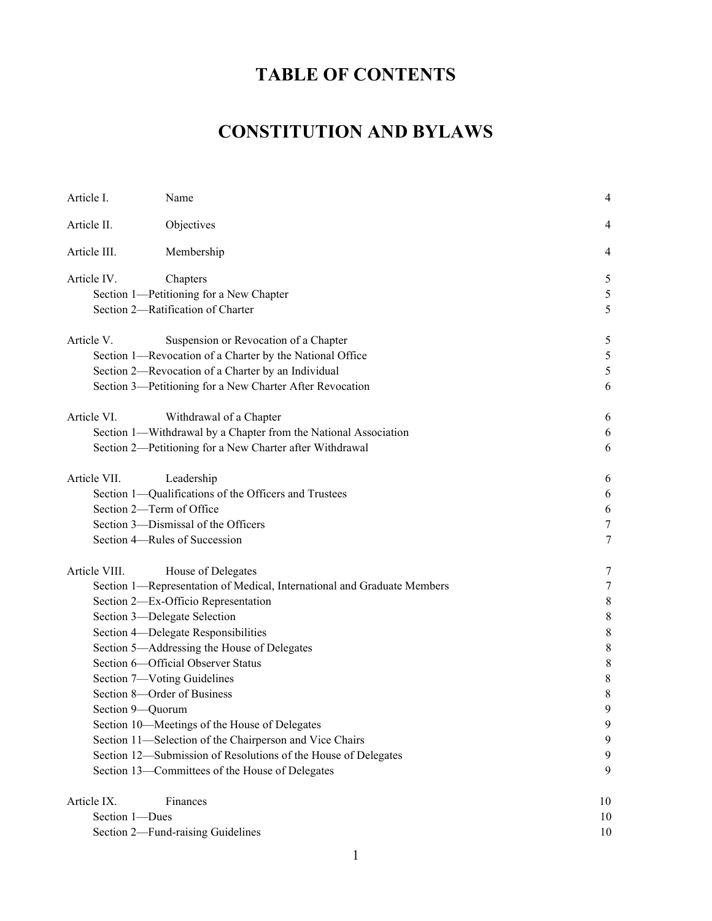# **TABLE OF CONTENTS**

# **CONSTITUTION AND BYLAWS**

| Article I.                                                     | Name                                                                    | 4                |
|----------------------------------------------------------------|-------------------------------------------------------------------------|------------------|
| Article II.                                                    | Objectives                                                              | 4                |
| Article III.                                                   | Membership                                                              | 4                |
| Article IV.                                                    | Chapters                                                                | 5                |
|                                                                | Section 1-Petitioning for a New Chapter                                 | 5                |
|                                                                | Section 2-Ratification of Charter                                       | 5                |
| Article V.                                                     | Suspension or Revocation of a Chapter                                   | 5                |
|                                                                | Section 1-Revocation of a Charter by the National Office                | 5                |
|                                                                | Section 2-Revocation of a Charter by an Individual                      | 5                |
|                                                                | Section 3-Petitioning for a New Charter After Revocation                | 6                |
| Article VI.                                                    | Withdrawal of a Chapter                                                 | 6                |
|                                                                | Section 1-Withdrawal by a Chapter from the National Association         | 6                |
|                                                                | Section 2-Petitioning for a New Charter after Withdrawal                | 6                |
| Article VII.                                                   | Leadership                                                              | 6                |
|                                                                | Section 1-Qualifications of the Officers and Trustees                   | 6                |
| Section 2-Term of Office                                       |                                                                         | 6                |
| Section 3-Dismissal of the Officers                            |                                                                         | 7                |
|                                                                | Section 4-Rules of Succession                                           | 7                |
| Article VIII.                                                  | House of Delegates                                                      | 7                |
|                                                                | Section 1-Representation of Medical, International and Graduate Members | $\boldsymbol{7}$ |
|                                                                | Section 2-Ex-Officio Representation                                     | 8                |
| Section 3-Delegate Selection                                   |                                                                         |                  |
|                                                                | Section 4-Delegate Responsibilities                                     | 8                |
|                                                                | Section 5-Addressing the House of Delegates                             | 8                |
|                                                                | Section 6-Official Observer Status                                      | 8                |
|                                                                | Section 7-Voting Guidelines                                             | 8                |
|                                                                | Section 8-Order of Business                                             | 8                |
| Section 9-Quorum                                               |                                                                         | q                |
|                                                                | Section 10-Meetings of the House of Delegates                           | 9                |
|                                                                | Section 11-Selection of the Chairperson and Vice Chairs                 | 9                |
| Section 12-Submission of Resolutions of the House of Delegates | 9                                                                       |                  |
|                                                                | Section 13-Committees of the House of Delegates                         | 9                |
| Article IX.                                                    | Finances                                                                | 10               |
| Section 1-Dues                                                 |                                                                         | 10               |
|                                                                | Section 2-Fund-raising Guidelines                                       | 10               |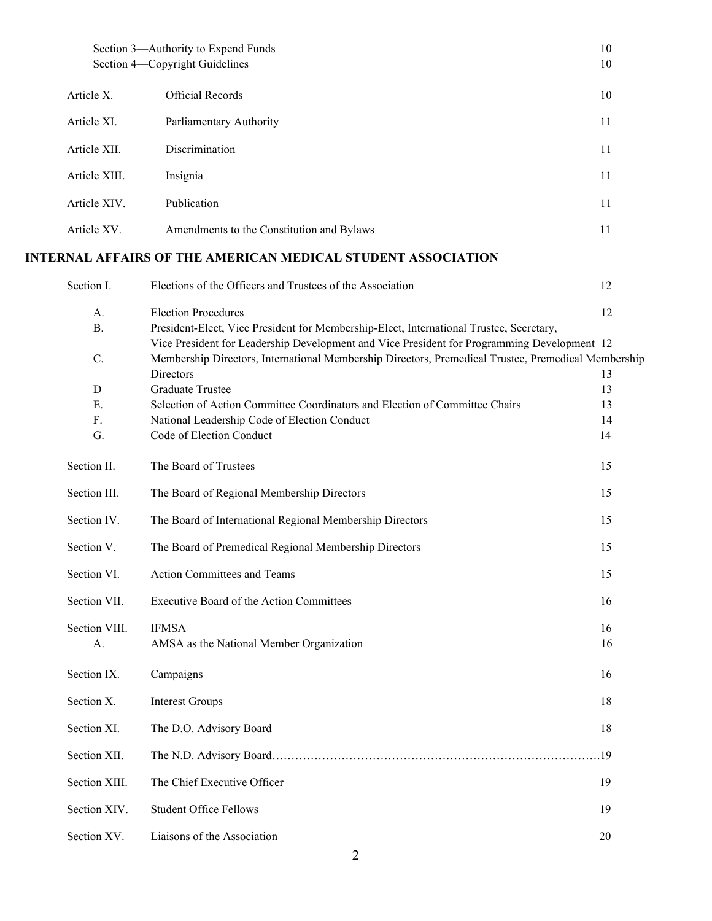|                 | Section 3-Authority to Expend Funds<br>Section 4-Copyright Guidelines                                                                                                                              | 10<br>10 |
|-----------------|----------------------------------------------------------------------------------------------------------------------------------------------------------------------------------------------------|----------|
| Article X.      | <b>Official Records</b>                                                                                                                                                                            | 10       |
| Article XI.     | Parliamentary Authority                                                                                                                                                                            | 11       |
| Article XII.    | Discrimination                                                                                                                                                                                     | 11       |
| Article XIII.   | Insignia                                                                                                                                                                                           | 11       |
| Article XIV.    | Publication                                                                                                                                                                                        | 11       |
| Article XV.     | Amendments to the Constitution and Bylaws                                                                                                                                                          | 11       |
|                 | INTERNAL AFFAIRS OF THE AMERICAN MEDICAL STUDENT ASSOCIATION                                                                                                                                       |          |
| Section I.      | Elections of the Officers and Trustees of the Association                                                                                                                                          | 12       |
| A.              | <b>Election Procedures</b>                                                                                                                                                                         | 12       |
| <b>B.</b>       | President-Elect, Vice President for Membership-Elect, International Trustee, Secretary,                                                                                                            |          |
| $\mathcal{C}$ . | Vice President for Leadership Development and Vice President for Programming Development 12<br>Membership Directors, International Membership Directors, Premedical Trustee, Premedical Membership |          |
|                 | Directors                                                                                                                                                                                          | 13       |
| D               | <b>Graduate Trustee</b>                                                                                                                                                                            | 13       |
| Ε.              | Selection of Action Committee Coordinators and Election of Committee Chairs                                                                                                                        | 13       |
| F.              | National Leadership Code of Election Conduct                                                                                                                                                       | 14       |
| G.              | Code of Election Conduct                                                                                                                                                                           | 14       |
| Section II.     | The Board of Trustees                                                                                                                                                                              | 15       |
| Section III.    | The Board of Regional Membership Directors                                                                                                                                                         | 15       |
| Section IV.     | The Board of International Regional Membership Directors                                                                                                                                           | 15       |
| Section V.      | The Board of Premedical Regional Membership Directors                                                                                                                                              | 15       |
| Section VI.     | Action Committees and Teams                                                                                                                                                                        | 15       |
| Section VII.    | Executive Board of the Action Committees                                                                                                                                                           | 16       |
| Section VIII.   | <b>IFMSA</b>                                                                                                                                                                                       | 16       |
| A.              | AMSA as the National Member Organization                                                                                                                                                           | 16       |
|                 |                                                                                                                                                                                                    |          |
| Section IX.     | Campaigns                                                                                                                                                                                          | 16       |
| Section X.      | <b>Interest Groups</b>                                                                                                                                                                             | 18       |
| Section XI.     | The D.O. Advisory Board                                                                                                                                                                            | 18       |
| Section XII.    |                                                                                                                                                                                                    | 19       |
| Section XIII.   | The Chief Executive Officer                                                                                                                                                                        | 19       |
| Section XIV.    | <b>Student Office Fellows</b>                                                                                                                                                                      | 19       |
| Section XV.     | Liaisons of the Association                                                                                                                                                                        | 20       |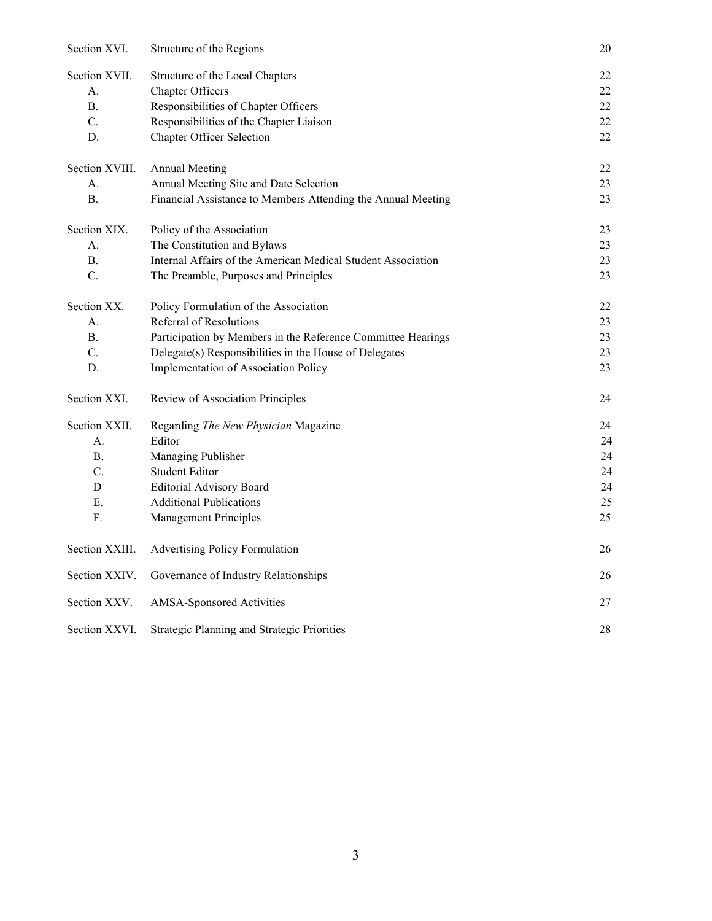| Section XVI.     | Structure of the Regions                                     | 20 |
|------------------|--------------------------------------------------------------|----|
| Section XVII.    | Structure of the Local Chapters                              | 22 |
| А.               | Chapter Officers                                             | 22 |
| <b>B.</b>        | Responsibilities of Chapter Officers                         | 22 |
| C.               | Responsibilities of the Chapter Liaison                      | 22 |
| D.               | Chapter Officer Selection                                    | 22 |
| Section XVIII.   | <b>Annual Meeting</b>                                        | 22 |
| А.               | Annual Meeting Site and Date Selection                       | 23 |
| <b>B.</b>        | Financial Assistance to Members Attending the Annual Meeting | 23 |
| Section XIX.     | Policy of the Association                                    | 23 |
| А.               | The Constitution and Bylaws                                  | 23 |
| <b>B.</b>        | Internal Affairs of the American Medical Student Association | 23 |
| $\overline{C}$ . | The Preamble, Purposes and Principles                        | 23 |
| Section XX.      | Policy Formulation of the Association                        | 22 |
| А.               | Referral of Resolutions                                      | 23 |
| <b>B.</b>        | Participation by Members in the Reference Committee Hearings | 23 |
| C.               | Delegate(s) Responsibilities in the House of Delegates       | 23 |
| D.               | Implementation of Association Policy                         | 23 |
| Section XXI.     | Review of Association Principles                             | 24 |
| Section XXII.    | Regarding The New Physician Magazine                         | 24 |
| A.               | Editor                                                       | 24 |
| <b>B.</b>        | Managing Publisher                                           | 24 |
| C.               | <b>Student Editor</b>                                        | 24 |
| D                | <b>Editorial Advisory Board</b>                              | 24 |
| Ε.               | <b>Additional Publications</b>                               | 25 |
| ${\bf F}.$       | Management Principles                                        | 25 |
| Section XXIII.   | <b>Advertising Policy Formulation</b>                        | 26 |
| Section XXIV.    | Governance of Industry Relationships                         | 26 |
| Section XXV.     | AMSA-Sponsored Activities                                    | 27 |
| Section XXVI.    | Strategic Planning and Strategic Priorities                  | 28 |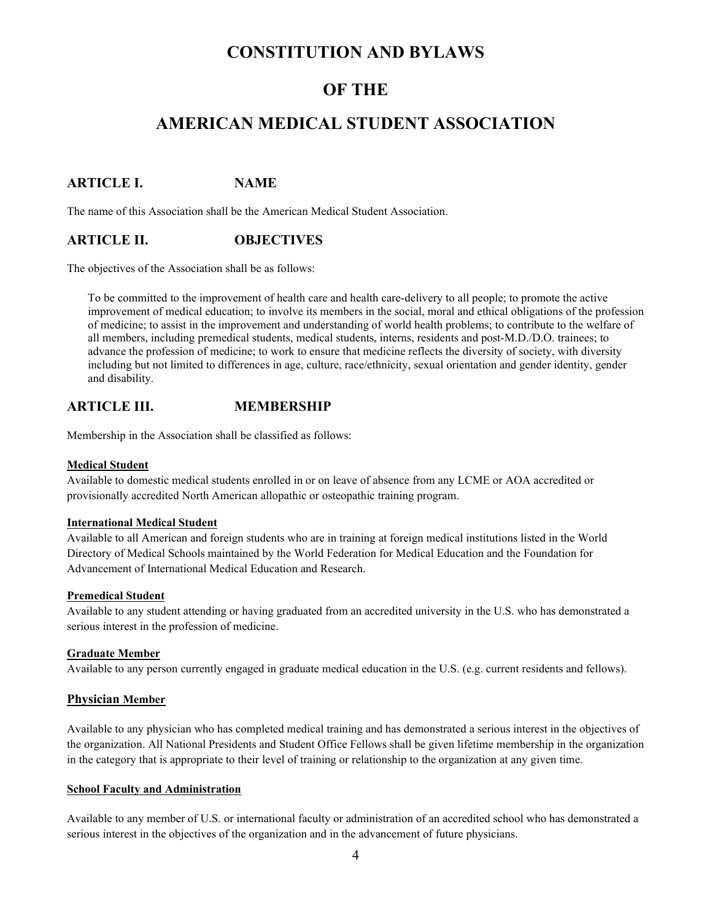# **CONSTITUTION AND BYLAWS**

# **OF THE**

# **AMERICAN MEDICAL STUDENT ASSOCIATION**

## **ARTICLE I. NAME**

The name of this Association shall be the American Medical Student Association.

### **ARTICLE II. OBJECTIVES**

The objectives of the Association shall be as follows:

To be committed to the improvement of health care and health care-delivery to all people; to promote the active improvement of medical education; to involve its members in the social, moral and ethical obligations of the profession of medicine; to assist in the improvement and understanding of world health problems; to contribute to the welfare of all members, including premedical students, medical students, interns, residents and post-M.D./D.O. trainees; to advance the profession of medicine; to work to ensure that medicine reflects the diversity of society, with diversity including but not limited to differences in age, culture, race/ethnicity, sexual orientation and gender identity, gender and disability.

### **ARTICLE III. MEMBERSHIP**

Membership in the Association shall be classified as follows:

#### **Medical Student**

Available to domestic medical students enrolled in or on leave of absence from any LCME or AOA accredited or provisionally accredited North American allopathic or osteopathic training program.

#### **International Medical Student**

Available to all American and foreign students who are in training at foreign medical institutions listed in the World Directory of Medical Schools maintained by the World Federation for Medical Education and the Foundation for Advancement of International Medical Education and Research.

#### **Premedical Student**

Available to any student attending or having graduated from an accredited university in the U.S. who has demonstrated a serious interest in the profession of medicine.

#### **Graduate Member**

Available to any person currently engaged in graduate medical education in the U.S. (e.g. current residents and fellows).

#### **Physician Member**

Available to any physician who has completed medical training and has demonstrated a serious interest in the objectives of the organization. All National Presidents and Student Office Fellows shall be given lifetime membership in the organization in the category that is appropriate to their level of training or relationship to the organization at any given time.

#### **School Faculty and Administration**

Available to any member of U.S. or international faculty or administration of an accredited school who has demonstrated a serious interest in the objectives of the organization and in the advancement of future physicians.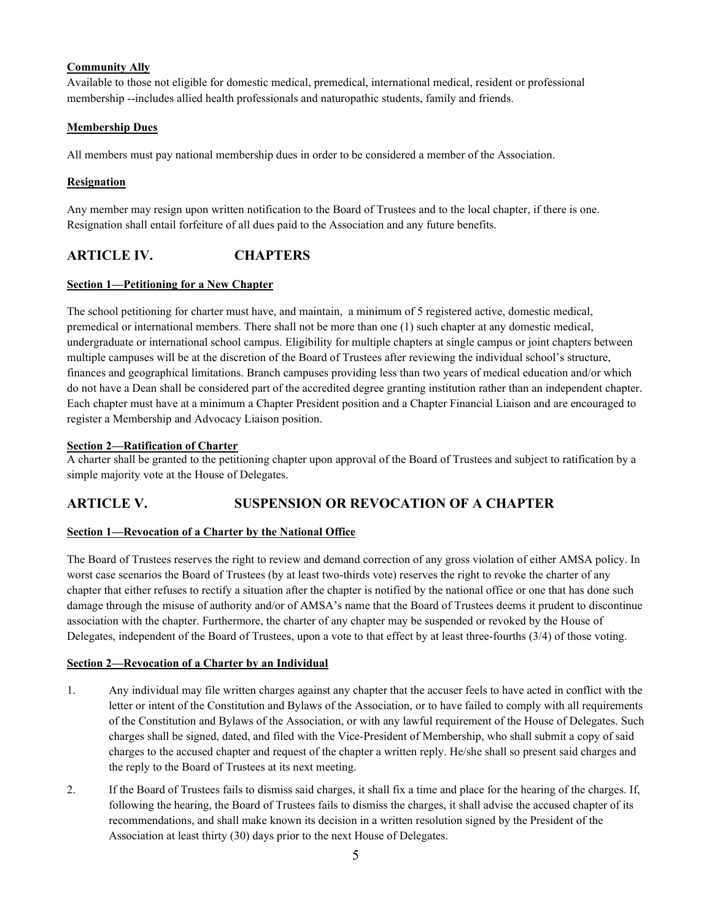### **Community Ally**

Available to those not eligible for domestic medical, premedical, international medical, resident or professional membership --includes allied health professionals and naturopathic students, family and friends.

#### **Membership Dues**

All members must pay national membership dues in order to be considered a member of the Association.

### **Resignation**

Any member may resign upon written notification to the Board of Trustees and to the local chapter, if there is one. Resignation shall entail forfeiture of all dues paid to the Association and any future benefits.

## **ARTICLE IV. CHAPTERS**

#### **Section 1—Petitioning for a New Chapter**

The school petitioning for charter must have, and maintain, a minimum of 5 registered active, domestic medical, premedical or international members. There shall not be more than one (1) such chapter at any domestic medical, undergraduate or international school campus. Eligibility for multiple chapters at single campus or joint chapters between multiple campuses will be at the discretion of the Board of Trustees after reviewing the individual school's structure, finances and geographical limitations. Branch campuses providing less than two years of medical education and/or which do not have a Dean shall be considered part of the accredited degree granting institution rather than an independent chapter. Each chapter must have at a minimum a Chapter President position and a Chapter Financial Liaison and are encouraged to register a Membership and Advocacy Liaison position.

#### **Section 2—Ratification of Charter**

A charter shall be granted to the petitioning chapter upon approval of the Board of Trustees and subject to ratification by a simple majority vote at the House of Delegates.

## **ARTICLE V. SUSPENSION OR REVOCATION OF A CHAPTER**

### **Section 1—Revocation of a Charter by the National Office**

The Board of Trustees reserves the right to review and demand correction of any gross violation of either AMSA policy. In worst case scenarios the Board of Trustees (by at least two-thirds vote) reserves the right to revoke the charter of any chapter that either refuses to rectify a situation after the chapter is notified by the national office or one that has done such damage through the misuse of authority and/or of AMSA's name that the Board of Trustees deems it prudent to discontinue association with the chapter. Furthermore, the charter of any chapter may be suspended or revoked by the House of Delegates, independent of the Board of Trustees, upon a vote to that effect by at least three-fourths (3/4) of those voting.

#### **Section 2—Revocation of a Charter by an Individual**

- 1. Any individual may file written charges against any chapter that the accuser feels to have acted in conflict with the letter or intent of the Constitution and Bylaws of the Association, or to have failed to comply with all requirements of the Constitution and Bylaws of the Association, or with any lawful requirement of the House of Delegates. Such charges shall be signed, dated, and filed with the Vice-President of Membership, who shall submit a copy of said charges to the accused chapter and request of the chapter a written reply. He/she shall so present said charges and the reply to the Board of Trustees at its next meeting.
- 2. If the Board of Trustees fails to dismiss said charges, it shall fix a time and place for the hearing of the charges. If, following the hearing, the Board of Trustees fails to dismiss the charges, it shall advise the accused chapter of its recommendations, and shall make known its decision in a written resolution signed by the President of the Association at least thirty (30) days prior to the next House of Delegates.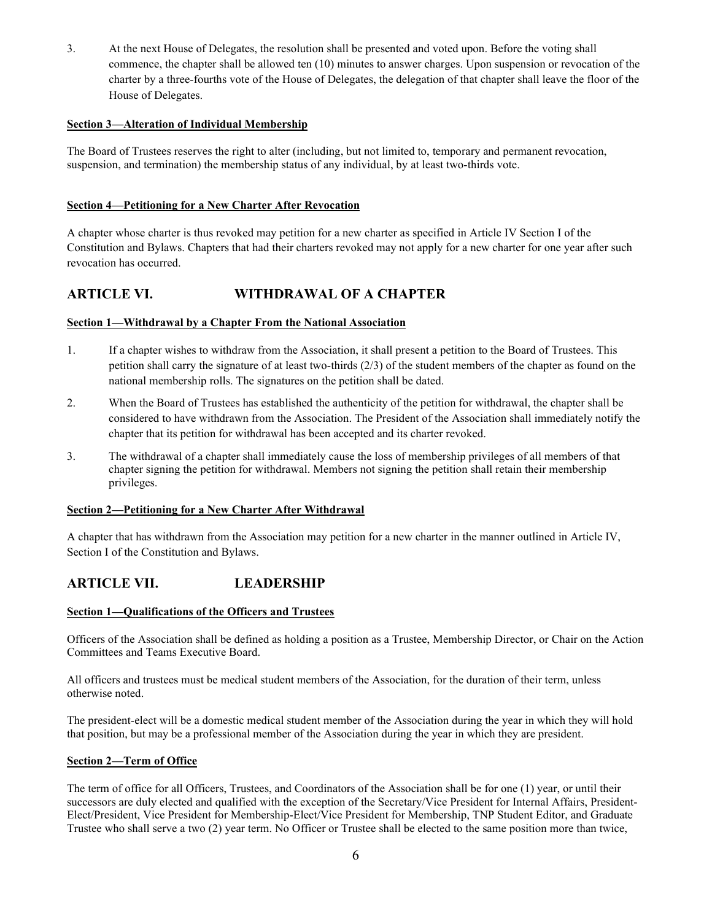3. At the next House of Delegates, the resolution shall be presented and voted upon. Before the voting shall commence, the chapter shall be allowed ten (10) minutes to answer charges. Upon suspension or revocation of the charter by a three-fourths vote of the House of Delegates, the delegation of that chapter shall leave the floor of the House of Delegates.

#### **Section 3—Alteration of Individual Membership**

The Board of Trustees reserves the right to alter (including, but not limited to, temporary and permanent revocation, suspension, and termination) the membership status of any individual, by at least two-thirds vote.

#### **Section 4—Petitioning for a New Charter After Revocation**

A chapter whose charter is thus revoked may petition for a new charter as specified in Article IV Section I of the Constitution and Bylaws. Chapters that had their charters revoked may not apply for a new charter for one year after such revocation has occurred.

### **ARTICLE VI. WITHDRAWAL OF A CHAPTER**

#### **Section 1—Withdrawal by a Chapter From the National Association**

- 1. If a chapter wishes to withdraw from the Association, it shall present a petition to the Board of Trustees. This petition shall carry the signature of at least two-thirds (2/3) of the student members of the chapter as found on the national membership rolls. The signatures on the petition shall be dated.
- 2. When the Board of Trustees has established the authenticity of the petition for withdrawal, the chapter shall be considered to have withdrawn from the Association. The President of the Association shall immediately notify the chapter that its petition for withdrawal has been accepted and its charter revoked.
- 3. The withdrawal of a chapter shall immediately cause the loss of membership privileges of all members of that chapter signing the petition for withdrawal. Members not signing the petition shall retain their membership privileges.

#### **Section 2—Petitioning for a New Charter After Withdrawal**

A chapter that has withdrawn from the Association may petition for a new charter in the manner outlined in Article IV, Section I of the Constitution and Bylaws.

### **ARTICLE VII. LEADERSHIP**

#### **Section 1—Qualifications of the Officers and Trustees**

Officers of the Association shall be defined as holding a position as a Trustee, Membership Director, or Chair on the Action Committees and Teams Executive Board.

All officers and trustees must be medical student members of the Association, for the duration of their term, unless otherwise noted.

The president-elect will be a domestic medical student member of the Association during the year in which they will hold that position, but may be a professional member of the Association during the year in which they are president.

#### **Section 2—Term of Office**

The term of office for all Officers, Trustees, and Coordinators of the Association shall be for one (1) year, or until their successors are duly elected and qualified with the exception of the Secretary/Vice President for Internal Affairs, President-Elect/President, Vice President for Membership-Elect/Vice President for Membership, TNP Student Editor, and Graduate Trustee who shall serve a two (2) year term. No Officer or Trustee shall be elected to the same position more than twice,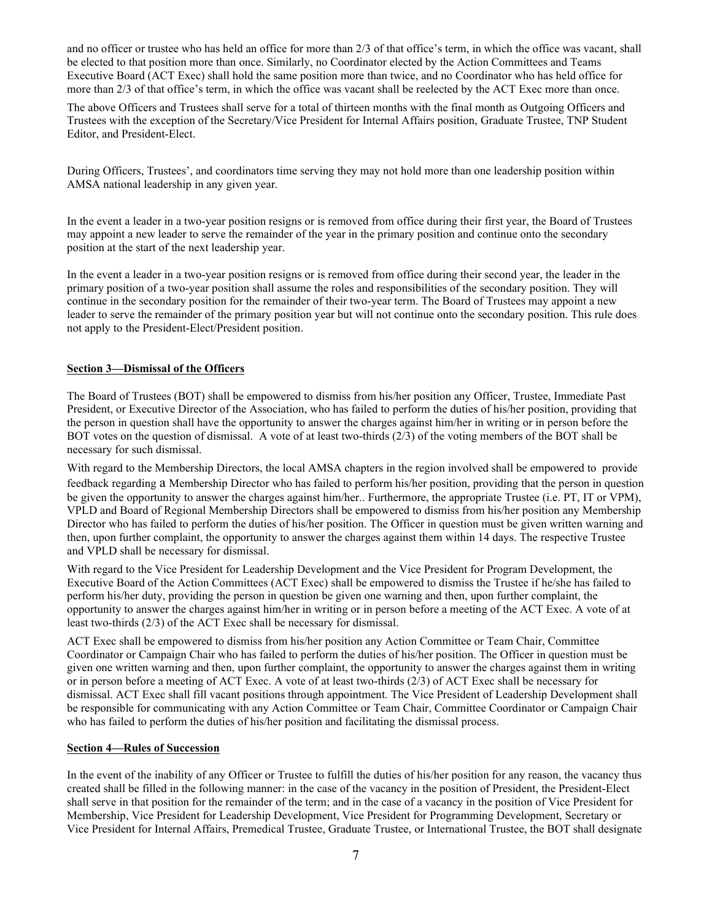and no officer or trustee who has held an office for more than 2/3 of that office's term, in which the office was vacant, shall be elected to that position more than once. Similarly, no Coordinator elected by the Action Committees and Teams Executive Board (ACT Exec) shall hold the same position more than twice, and no Coordinator who has held office for more than 2/3 of that office's term, in which the office was vacant shall be reelected by the ACT Exec more than once.

The above Officers and Trustees shall serve for a total of thirteen months with the final month as Outgoing Officers and Trustees with the exception of the Secretary/Vice President for Internal Affairs position, Graduate Trustee, TNP Student Editor, and President-Elect.

During Officers, Trustees', and coordinators time serving they may not hold more than one leadership position within AMSA national leadership in any given year.

In the event a leader in a two-year position resigns or is removed from office during their first year, the Board of Trustees may appoint a new leader to serve the remainder of the year in the primary position and continue onto the secondary position at the start of the next leadership year.

In the event a leader in a two-year position resigns or is removed from office during their second year, the leader in the primary position of a two-year position shall assume the roles and responsibilities of the secondary position. They will continue in the secondary position for the remainder of their two-year term. The Board of Trustees may appoint a new leader to serve the remainder of the primary position year but will not continue onto the secondary position. This rule does not apply to the President-Elect/President position.

#### **Section 3—Dismissal of the Officers**

The Board of Trustees (BOT) shall be empowered to dismiss from his/her position any Officer, Trustee, Immediate Past President, or Executive Director of the Association, who has failed to perform the duties of his/her position, providing that the person in question shall have the opportunity to answer the charges against him/her in writing or in person before the BOT votes on the question of dismissal. A vote of at least two-thirds (2/3) of the voting members of the BOT shall be necessary for such dismissal.

With regard to the Membership Directors, the local AMSA chapters in the region involved shall be empowered to provide feedback regarding a Membership Director who has failed to perform his/her position, providing that the person in question be given the opportunity to answer the charges against him/her.. Furthermore, the appropriate Trustee (i.e. PT, IT or VPM), VPLD and Board of Regional Membership Directors shall be empowered to dismiss from his/her position any Membership Director who has failed to perform the duties of his/her position. The Officer in question must be given written warning and then, upon further complaint, the opportunity to answer the charges against them within 14 days. The respective Trustee and VPLD shall be necessary for dismissal.

With regard to the Vice President for Leadership Development and the Vice President for Program Development, the Executive Board of the Action Committees (ACT Exec) shall be empowered to dismiss the Trustee if he/she has failed to perform his/her duty, providing the person in question be given one warning and then, upon further complaint, the opportunity to answer the charges against him/her in writing or in person before a meeting of the ACT Exec. A vote of at least two-thirds (2/3) of the ACT Exec shall be necessary for dismissal.

ACT Exec shall be empowered to dismiss from his/her position any Action Committee or Team Chair, Committee Coordinator or Campaign Chair who has failed to perform the duties of his/her position. The Officer in question must be given one written warning and then, upon further complaint, the opportunity to answer the charges against them in writing or in person before a meeting of ACT Exec. A vote of at least two-thirds (2/3) of ACT Exec shall be necessary for dismissal. ACT Exec shall fill vacant positions through appointment. The Vice President of Leadership Development shall be responsible for communicating with any Action Committee or Team Chair, Committee Coordinator or Campaign Chair who has failed to perform the duties of his/her position and facilitating the dismissal process.

#### **Section 4—Rules of Succession**

In the event of the inability of any Officer or Trustee to fulfill the duties of his/her position for any reason, the vacancy thus created shall be filled in the following manner: in the case of the vacancy in the position of President, the President-Elect shall serve in that position for the remainder of the term; and in the case of a vacancy in the position of Vice President for Membership, Vice President for Leadership Development, Vice President for Programming Development, Secretary or Vice President for Internal Affairs, Premedical Trustee, Graduate Trustee, or International Trustee, the BOT shall designate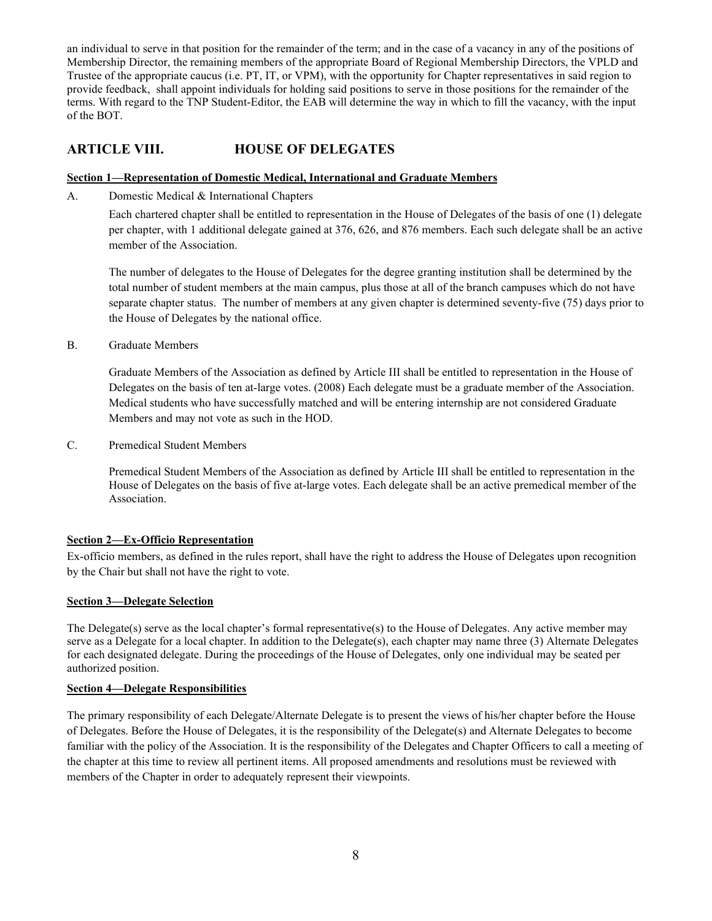an individual to serve in that position for the remainder of the term; and in the case of a vacancy in any of the positions of Membership Director, the remaining members of the appropriate Board of Regional Membership Directors, the VPLD and Trustee of the appropriate caucus (i.e. PT, IT, or VPM), with the opportunity for Chapter representatives in said region to provide feedback, shall appoint individuals for holding said positions to serve in those positions for the remainder of the terms. With regard to the TNP Student-Editor, the EAB will determine the way in which to fill the vacancy, with the input of the BOT.

### **ARTICLE VIII. HOUSE OF DELEGATES**

#### **Section 1—Representation of Domestic Medical, International and Graduate Members**

A. Domestic Medical & International Chapters

Each chartered chapter shall be entitled to representation in the House of Delegates of the basis of one (1) delegate per chapter, with 1 additional delegate gained at 376, 626, and 876 members. Each such delegate shall be an active member of the Association.

The number of delegates to the House of Delegates for the degree granting institution shall be determined by the total number of student members at the main campus, plus those at all of the branch campuses which do not have separate chapter status. The number of members at any given chapter is determined seventy-five (75) days prior to the House of Delegates by the national office.

B. Graduate Members

Graduate Members of the Association as defined by Article III shall be entitled to representation in the House of Delegates on the basis of ten at-large votes. (2008) Each delegate must be a graduate member of the Association. Medical students who have successfully matched and will be entering internship are not considered Graduate Members and may not vote as such in the HOD.

C. Premedical Student Members

Premedical Student Members of the Association as defined by Article III shall be entitled to representation in the House of Delegates on the basis of five at-large votes. Each delegate shall be an active premedical member of the Association.

### **Section 2—Ex-Officio Representation**

Ex-officio members, as defined in the rules report, shall have the right to address the House of Delegates upon recognition by the Chair but shall not have the right to vote.

### **Section 3—Delegate Selection**

The Delegate(s) serve as the local chapter's formal representative(s) to the House of Delegates. Any active member may serve as a Delegate for a local chapter. In addition to the Delegate(s), each chapter may name three (3) Alternate Delegates for each designated delegate. During the proceedings of the House of Delegates, only one individual may be seated per authorized position.

#### **Section 4—Delegate Responsibilities**

The primary responsibility of each Delegate/Alternate Delegate is to present the views of his/her chapter before the House of Delegates. Before the House of Delegates, it is the responsibility of the Delegate(s) and Alternate Delegates to become familiar with the policy of the Association. It is the responsibility of the Delegates and Chapter Officers to call a meeting of the chapter at this time to review all pertinent items. All proposed amendments and resolutions must be reviewed with members of the Chapter in order to adequately represent their viewpoints.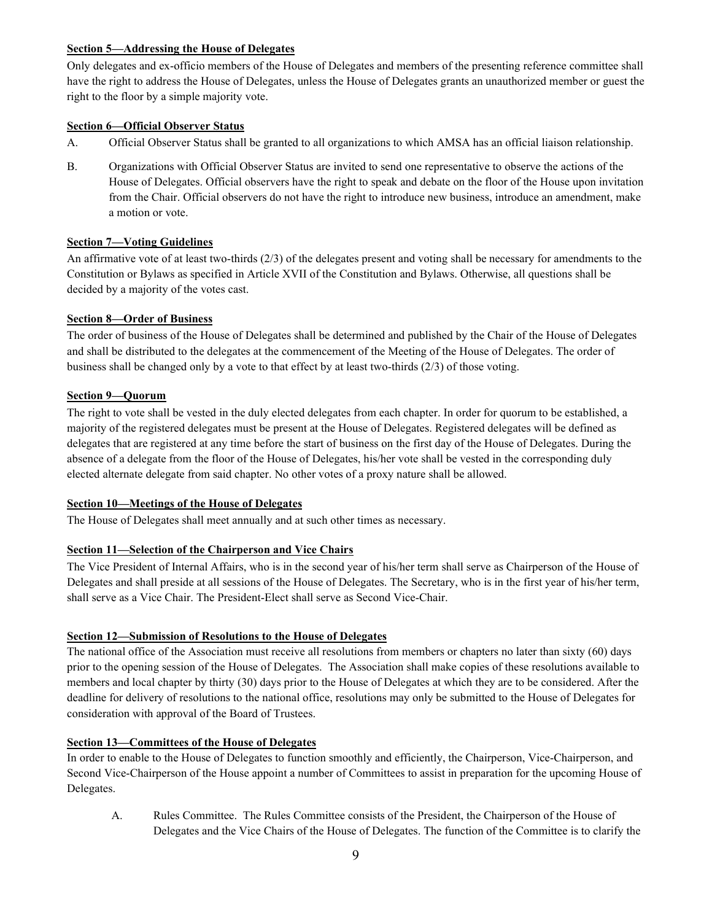#### **Section 5—Addressing the House of Delegates**

Only delegates and ex-officio members of the House of Delegates and members of the presenting reference committee shall have the right to address the House of Delegates, unless the House of Delegates grants an unauthorized member or guest the right to the floor by a simple majority vote.

### **Section 6—Official Observer Status**

- A. Official Observer Status shall be granted to all organizations to which AMSA has an official liaison relationship.
- B. Organizations with Official Observer Status are invited to send one representative to observe the actions of the House of Delegates. Official observers have the right to speak and debate on the floor of the House upon invitation from the Chair. Official observers do not have the right to introduce new business, introduce an amendment, make a motion or vote.

#### **Section 7—Voting Guidelines**

An affirmative vote of at least two-thirds (2/3) of the delegates present and voting shall be necessary for amendments to the Constitution or Bylaws as specified in Article XVII of the Constitution and Bylaws. Otherwise, all questions shall be decided by a majority of the votes cast.

#### **Section 8—Order of Business**

The order of business of the House of Delegates shall be determined and published by the Chair of the House of Delegates and shall be distributed to the delegates at the commencement of the Meeting of the House of Delegates. The order of business shall be changed only by a vote to that effect by at least two-thirds (2/3) of those voting.

#### **Section 9—Quorum**

The right to vote shall be vested in the duly elected delegates from each chapter. In order for quorum to be established, a majority of the registered delegates must be present at the House of Delegates. Registered delegates will be defined as delegates that are registered at any time before the start of business on the first day of the House of Delegates. During the absence of a delegate from the floor of the House of Delegates, his/her vote shall be vested in the corresponding duly elected alternate delegate from said chapter. No other votes of a proxy nature shall be allowed.

#### **Section 10—Meetings of the House of Delegates**

The House of Delegates shall meet annually and at such other times as necessary.

### **Section 11—Selection of the Chairperson and Vice Chairs**

The Vice President of Internal Affairs, who is in the second year of his/her term shall serve as Chairperson of the House of Delegates and shall preside at all sessions of the House of Delegates. The Secretary, who is in the first year of his/her term, shall serve as a Vice Chair. The President-Elect shall serve as Second Vice-Chair.

### **Section 12—Submission of Resolutions to the House of Delegates**

The national office of the Association must receive all resolutions from members or chapters no later than sixty (60) days prior to the opening session of the House of Delegates. The Association shall make copies of these resolutions available to members and local chapter by thirty (30) days prior to the House of Delegates at which they are to be considered. After the deadline for delivery of resolutions to the national office, resolutions may only be submitted to the House of Delegates for consideration with approval of the Board of Trustees.

### **Section 13—Committees of the House of Delegates**

In order to enable to the House of Delegates to function smoothly and efficiently, the Chairperson, Vice-Chairperson, and Second Vice-Chairperson of the House appoint a number of Committees to assist in preparation for the upcoming House of Delegates.

A. Rules Committee. The Rules Committee consists of the President, the Chairperson of the House of Delegates and the Vice Chairs of the House of Delegates. The function of the Committee is to clarify the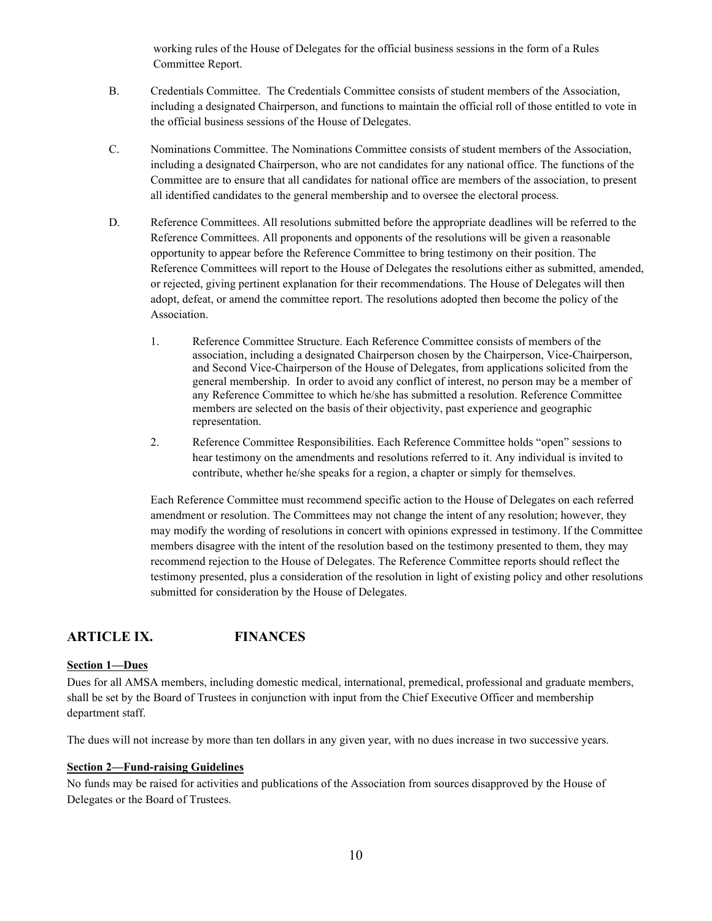working rules of the House of Delegates for the official business sessions in the form of a Rules Committee Report.

- B. Credentials Committee. The Credentials Committee consists of student members of the Association, including a designated Chairperson, and functions to maintain the official roll of those entitled to vote in the official business sessions of the House of Delegates.
- C. Nominations Committee. The Nominations Committee consists of student members of the Association, including a designated Chairperson, who are not candidates for any national office. The functions of the Committee are to ensure that all candidates for national office are members of the association, to present all identified candidates to the general membership and to oversee the electoral process.
- D. Reference Committees. All resolutions submitted before the appropriate deadlines will be referred to the Reference Committees. All proponents and opponents of the resolutions will be given a reasonable opportunity to appear before the Reference Committee to bring testimony on their position. The Reference Committees will report to the House of Delegates the resolutions either as submitted, amended, or rejected, giving pertinent explanation for their recommendations. The House of Delegates will then adopt, defeat, or amend the committee report. The resolutions adopted then become the policy of the Association.
	- 1. Reference Committee Structure. Each Reference Committee consists of members of the association, including a designated Chairperson chosen by the Chairperson, Vice-Chairperson, and Second Vice-Chairperson of the House of Delegates, from applications solicited from the general membership. In order to avoid any conflict of interest, no person may be a member of any Reference Committee to which he/she has submitted a resolution. Reference Committee members are selected on the basis of their objectivity, past experience and geographic representation.
	- 2. Reference Committee Responsibilities. Each Reference Committee holds "open" sessions to hear testimony on the amendments and resolutions referred to it. Any individual is invited to contribute, whether he/she speaks for a region, a chapter or simply for themselves.

Each Reference Committee must recommend specific action to the House of Delegates on each referred amendment or resolution. The Committees may not change the intent of any resolution; however, they may modify the wording of resolutions in concert with opinions expressed in testimony. If the Committee members disagree with the intent of the resolution based on the testimony presented to them, they may recommend rejection to the House of Delegates. The Reference Committee reports should reflect the testimony presented, plus a consideration of the resolution in light of existing policy and other resolutions submitted for consideration by the House of Delegates.

## **ARTICLE IX. FINANCES**

### **Section 1—Dues**

Dues for all AMSA members, including domestic medical, international, premedical, professional and graduate members, shall be set by the Board of Trustees in conjunction with input from the Chief Executive Officer and membership department staff.

The dues will not increase by more than ten dollars in any given year, with no dues increase in two successive years.

### **Section 2—Fund-raising Guidelines**

No funds may be raised for activities and publications of the Association from sources disapproved by the House of Delegates or the Board of Trustees.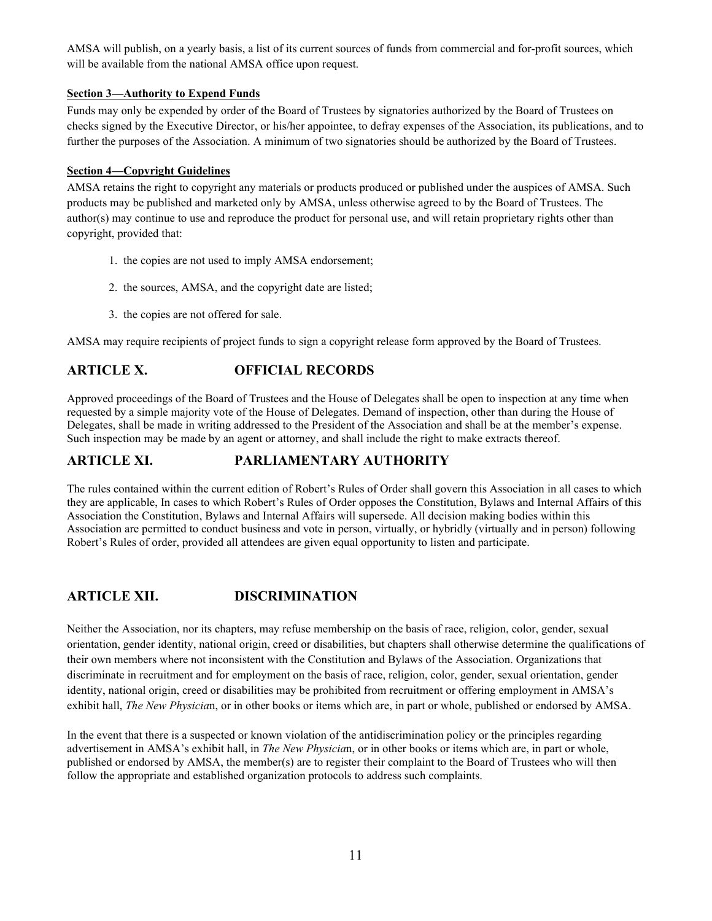AMSA will publish, on a yearly basis, a list of its current sources of funds from commercial and for-profit sources, which will be available from the national AMSA office upon request.

#### **Section 3—Authority to Expend Funds**

Funds may only be expended by order of the Board of Trustees by signatories authorized by the Board of Trustees on checks signed by the Executive Director, or his/her appointee, to defray expenses of the Association, its publications, and to further the purposes of the Association. A minimum of two signatories should be authorized by the Board of Trustees.

#### **Section 4—Copyright Guidelines**

AMSA retains the right to copyright any materials or products produced or published under the auspices of AMSA. Such products may be published and marketed only by AMSA, unless otherwise agreed to by the Board of Trustees. The author(s) may continue to use and reproduce the product for personal use, and will retain proprietary rights other than copyright, provided that:

- 1. the copies are not used to imply AMSA endorsement;
- 2. the sources, AMSA, and the copyright date are listed;
- 3. the copies are not offered for sale.

AMSA may require recipients of project funds to sign a copyright release form approved by the Board of Trustees.

# **ARTICLE X. OFFICIAL RECORDS**

Approved proceedings of the Board of Trustees and the House of Delegates shall be open to inspection at any time when requested by a simple majority vote of the House of Delegates. Demand of inspection, other than during the House of Delegates, shall be made in writing addressed to the President of the Association and shall be at the member's expense. Such inspection may be made by an agent or attorney, and shall include the right to make extracts thereof.

## **ARTICLE XI. PARLIAMENTARY AUTHORITY**

The rules contained within the current edition of Robert's Rules of Order shall govern this Association in all cases to which they are applicable, In cases to which Robert's Rules of Order opposes the Constitution, Bylaws and Internal Affairs of this Association the Constitution, Bylaws and Internal Affairs will supersede. All decision making bodies within this Association are permitted to conduct business and vote in person, virtually, or hybridly (virtually and in person) following Robert's Rules of order, provided all attendees are given equal opportunity to listen and participate.

## **ARTICLE XII. DISCRIMINATION**

Neither the Association, nor its chapters, may refuse membership on the basis of race, religion, color, gender, sexual orientation, gender identity, national origin, creed or disabilities, but chapters shall otherwise determine the qualifications of their own members where not inconsistent with the Constitution and Bylaws of the Association. Organizations that discriminate in recruitment and for employment on the basis of race, religion, color, gender, sexual orientation, gender identity, national origin, creed or disabilities may be prohibited from recruitment or offering employment in AMSA's exhibit hall, *The New Physicia*n, or in other books or items which are, in part or whole, published or endorsed by AMSA.

In the event that there is a suspected or known violation of the antidiscrimination policy or the principles regarding advertisement in AMSA's exhibit hall, in *The New Physicia*n, or in other books or items which are, in part or whole, published or endorsed by AMSA, the member(s) are to register their complaint to the Board of Trustees who will then follow the appropriate and established organization protocols to address such complaints.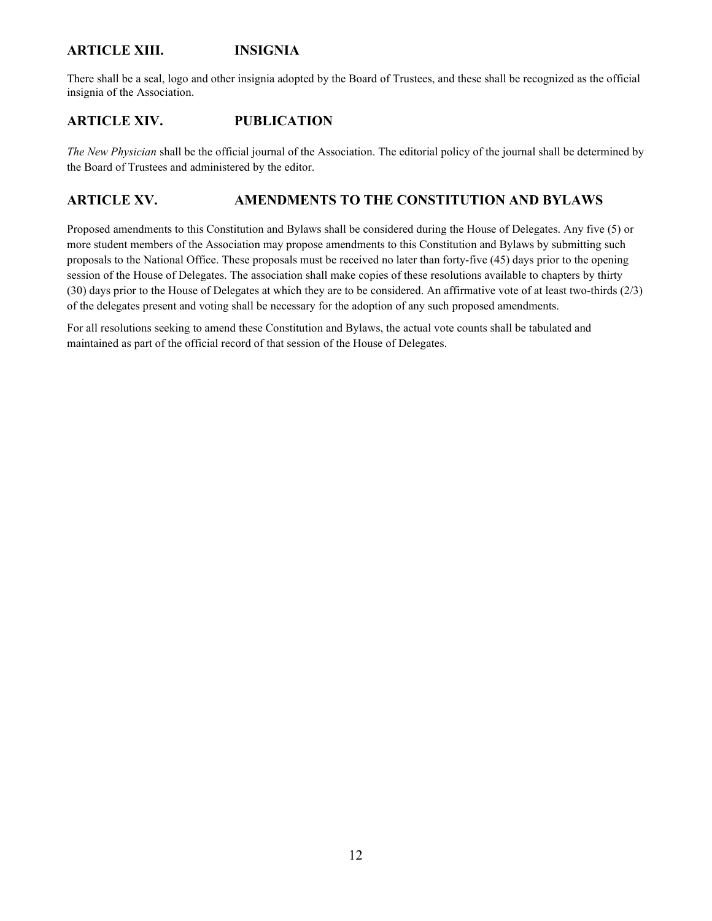### **ARTICLE XIII. INSIGNIA**

There shall be a seal, logo and other insignia adopted by the Board of Trustees, and these shall be recognized as the official insignia of the Association.

### **ARTICLE XIV. PUBLICATION**

*The New Physician* shall be the official journal of the Association. The editorial policy of the journal shall be determined by the Board of Trustees and administered by the editor.

### **ARTICLE XV. AMENDMENTS TO THE CONSTITUTION AND BYLAWS**

Proposed amendments to this Constitution and Bylaws shall be considered during the House of Delegates. Any five (5) or more student members of the Association may propose amendments to this Constitution and Bylaws by submitting such proposals to the National Office. These proposals must be received no later than forty-five (45) days prior to the opening session of the House of Delegates. The association shall make copies of these resolutions available to chapters by thirty (30) days prior to the House of Delegates at which they are to be considered. An affirmative vote of at least two-thirds (2/3) of the delegates present and voting shall be necessary for the adoption of any such proposed amendments.

For all resolutions seeking to amend these Constitution and Bylaws, the actual vote counts shall be tabulated and maintained as part of the official record of that session of the House of Delegates.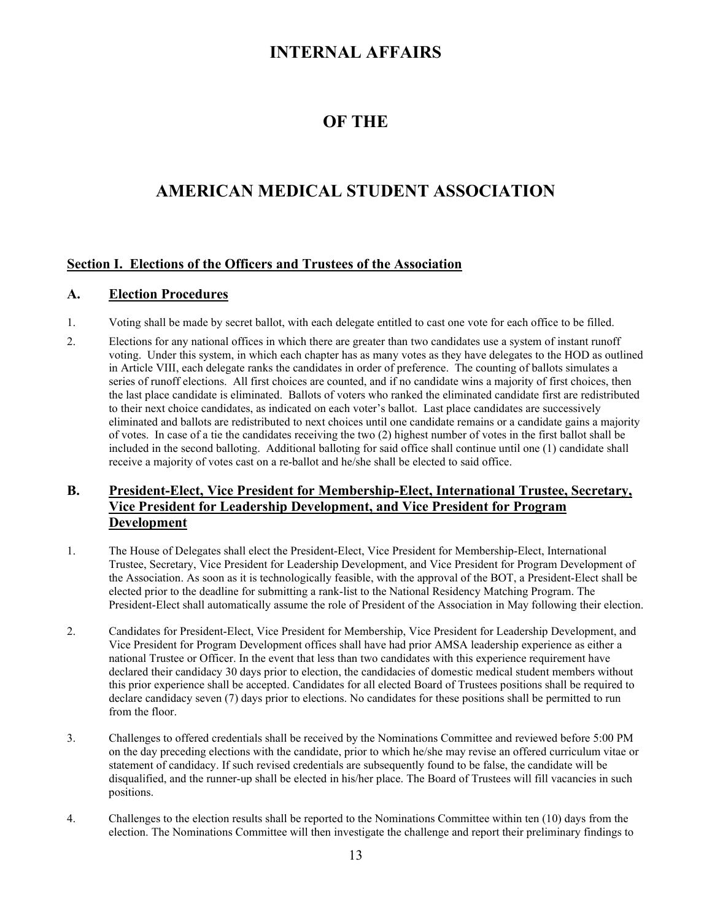# **INTERNAL AFFAIRS**

# **OF THE**

# **AMERICAN MEDICAL STUDENT ASSOCIATION**

### **Section I. Elections of the Officers and Trustees of the Association**

### **A. Election Procedures**

- 1. Voting shall be made by secret ballot, with each delegate entitled to cast one vote for each office to be filled.
- 2. Elections for any national offices in which there are greater than two candidates use a system of instant runoff voting. Under this system, in which each chapter has as many votes as they have delegates to the HOD as outlined in Article VIII, each delegate ranks the candidates in order of preference. The counting of ballots simulates a series of runoff elections. All first choices are counted, and if no candidate wins a majority of first choices, then the last place candidate is eliminated. Ballots of voters who ranked the eliminated candidate first are redistributed to their next choice candidates, as indicated on each voter's ballot. Last place candidates are successively eliminated and ballots are redistributed to next choices until one candidate remains or a candidate gains a majority of votes. In case of a tie the candidates receiving the two (2) highest number of votes in the first ballot shall be included in the second balloting. Additional balloting for said office shall continue until one (1) candidate shall receive a majority of votes cast on a re-ballot and he/she shall be elected to said office.

### **B. President-Elect, Vice President for Membership-Elect, International Trustee, Secretary, Vice President for Leadership Development, and Vice President for Program Development**

- 1. The House of Delegates shall elect the President-Elect, Vice President for Membership-Elect, International Trustee, Secretary, Vice President for Leadership Development, and Vice President for Program Development of the Association. As soon as it is technologically feasible, with the approval of the BOT, a President-Elect shall be elected prior to the deadline for submitting a rank-list to the National Residency Matching Program. The President-Elect shall automatically assume the role of President of the Association in May following their election.
- 2. Candidates for President-Elect, Vice President for Membership, Vice President for Leadership Development, and Vice President for Program Development offices shall have had prior AMSA leadership experience as either a national Trustee or Officer. In the event that less than two candidates with this experience requirement have declared their candidacy 30 days prior to election, the candidacies of domestic medical student members without this prior experience shall be accepted. Candidates for all elected Board of Trustees positions shall be required to declare candidacy seven (7) days prior to elections. No candidates for these positions shall be permitted to run from the floor.
- 3. Challenges to offered credentials shall be received by the Nominations Committee and reviewed before 5:00 PM on the day preceding elections with the candidate, prior to which he/she may revise an offered curriculum vitae or statement of candidacy. If such revised credentials are subsequently found to be false, the candidate will be disqualified, and the runner-up shall be elected in his/her place. The Board of Trustees will fill vacancies in such positions.
- 4. Challenges to the election results shall be reported to the Nominations Committee within ten (10) days from the election. The Nominations Committee will then investigate the challenge and report their preliminary findings to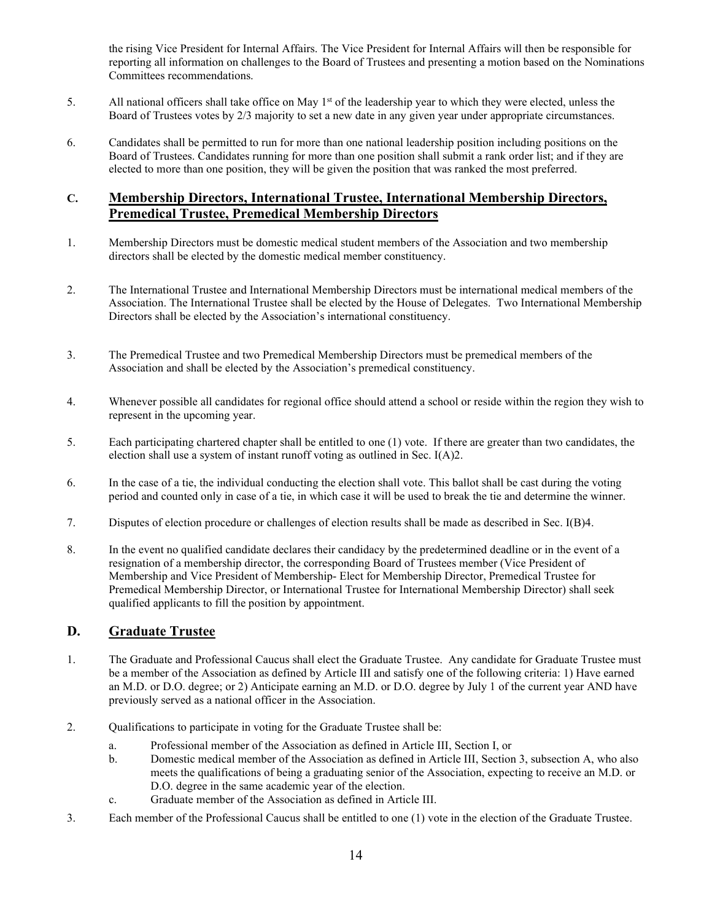the rising Vice President for Internal Affairs. The Vice President for Internal Affairs will then be responsible for reporting all information on challenges to the Board of Trustees and presenting a motion based on the Nominations Committees recommendations.

- 5. All national officers shall take office on May 1<sup>st</sup> of the leadership year to which they were elected, unless the Board of Trustees votes by 2/3 majority to set a new date in any given year under appropriate circumstances.
- 6. Candidates shall be permitted to run for more than one national leadership position including positions on the Board of Trustees. Candidates running for more than one position shall submit a rank order list; and if they are elected to more than one position, they will be given the position that was ranked the most preferred.

### **C. Membership Directors, International Trustee, International Membership Directors, Premedical Trustee, Premedical Membership Directors**

- 1. Membership Directors must be domestic medical student members of the Association and two membership directors shall be elected by the domestic medical member constituency.
- 2. The International Trustee and International Membership Directors must be international medical members of the Association. The International Trustee shall be elected by the House of Delegates. Two International Membership Directors shall be elected by the Association's international constituency.
- 3. The Premedical Trustee and two Premedical Membership Directors must be premedical members of the Association and shall be elected by the Association's premedical constituency.
- 4. Whenever possible all candidates for regional office should attend a school or reside within the region they wish to represent in the upcoming year.
- 5. Each participating chartered chapter shall be entitled to one (1) vote. If there are greater than two candidates, the election shall use a system of instant runoff voting as outlined in Sec. I(A)2.
- 6. In the case of a tie, the individual conducting the election shall vote. This ballot shall be cast during the voting period and counted only in case of a tie, in which case it will be used to break the tie and determine the winner.
- 7. Disputes of election procedure or challenges of election results shall be made as described in Sec. I(B)4.
- 8. In the event no qualified candidate declares their candidacy by the predetermined deadline or in the event of a resignation of a membership director, the corresponding Board of Trustees member (Vice President of Membership and Vice President of Membership- Elect for Membership Director, Premedical Trustee for Premedical Membership Director, or International Trustee for International Membership Director) shall seek qualified applicants to fill the position by appointment.

### **D. Graduate Trustee**

- 1. The Graduate and Professional Caucus shall elect the Graduate Trustee. Any candidate for Graduate Trustee must be a member of the Association as defined by Article III and satisfy one of the following criteria: 1) Have earned an M.D. or D.O. degree; or 2) Anticipate earning an M.D. or D.O. degree by July 1 of the current year AND have previously served as a national officer in the Association.
- 2. Qualifications to participate in voting for the Graduate Trustee shall be:
	- a. Professional member of the Association as defined in Article III, Section I, or
	- b. Domestic medical member of the Association as defined in Article III, Section 3, subsection A, who also meets the qualifications of being a graduating senior of the Association, expecting to receive an M.D. or D.O. degree in the same academic year of the election.
	- c. Graduate member of the Association as defined in Article III.
- 3. Each member of the Professional Caucus shall be entitled to one (1) vote in the election of the Graduate Trustee.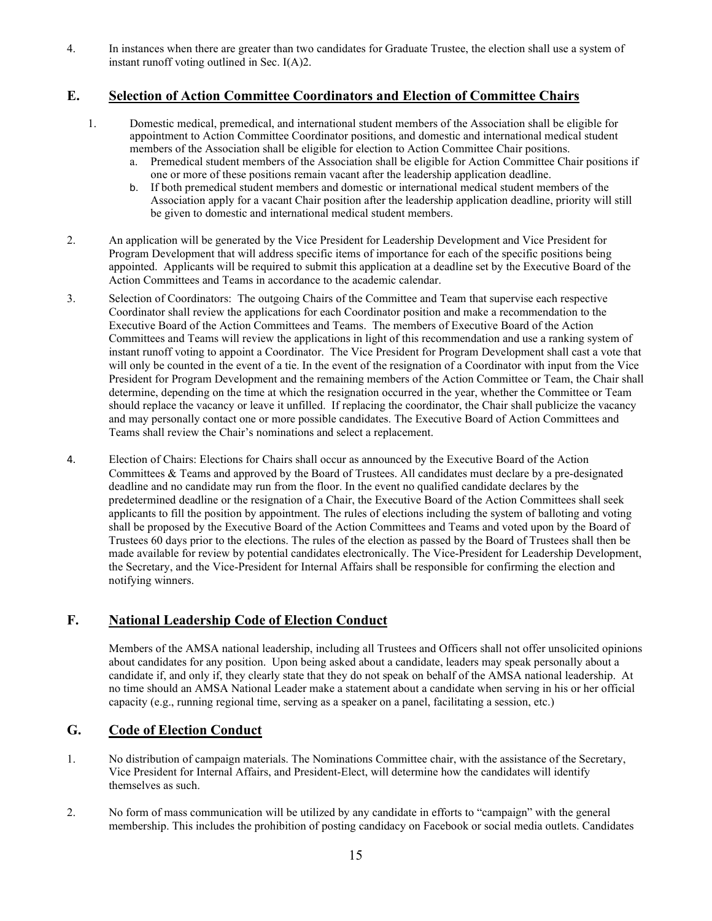4. In instances when there are greater than two candidates for Graduate Trustee, the election shall use a system of instant runoff voting outlined in Sec. I(A)2.

### **E. Selection of Action Committee Coordinators and Election of Committee Chairs**

- 1. Domestic medical, premedical, and international student members of the Association shall be eligible for appointment to Action Committee Coordinator positions, and domestic and international medical student members of the Association shall be eligible for election to Action Committee Chair positions.
	- a. Premedical student members of the Association shall be eligible for Action Committee Chair positions if one or more of these positions remain vacant after the leadership application deadline.
	- b. If both premedical student members and domestic or international medical student members of the Association apply for a vacant Chair position after the leadership application deadline, priority will still be given to domestic and international medical student members.
- 2. An application will be generated by the Vice President for Leadership Development and Vice President for Program Development that will address specific items of importance for each of the specific positions being appointed. Applicants will be required to submit this application at a deadline set by the Executive Board of the Action Committees and Teams in accordance to the academic calendar.
- 3. Selection of Coordinators: The outgoing Chairs of the Committee and Team that supervise each respective Coordinator shall review the applications for each Coordinator position and make a recommendation to the Executive Board of the Action Committees and Teams. The members of Executive Board of the Action Committees and Teams will review the applications in light of this recommendation and use a ranking system of instant runoff voting to appoint a Coordinator. The Vice President for Program Development shall cast a vote that will only be counted in the event of a tie. In the event of the resignation of a Coordinator with input from the Vice President for Program Development and the remaining members of the Action Committee or Team, the Chair shall determine, depending on the time at which the resignation occurred in the year, whether the Committee or Team should replace the vacancy or leave it unfilled. If replacing the coordinator, the Chair shall publicize the vacancy and may personally contact one or more possible candidates. The Executive Board of Action Committees and Teams shall review the Chair's nominations and select a replacement.
- 4. Election of Chairs: Elections for Chairs shall occur as announced by the Executive Board of the Action Committees & Teams and approved by the Board of Trustees. All candidates must declare by a pre-designated deadline and no candidate may run from the floor. In the event no qualified candidate declares by the predetermined deadline or the resignation of a Chair, the Executive Board of the Action Committees shall seek applicants to fill the position by appointment. The rules of elections including the system of balloting and voting shall be proposed by the Executive Board of the Action Committees and Teams and voted upon by the Board of Trustees 60 days prior to the elections. The rules of the election as passed by the Board of Trustees shall then be made available for review by potential candidates electronically. The Vice-President for Leadership Development, the Secretary, and the Vice-President for Internal Affairs shall be responsible for confirming the election and notifying winners.

## **F. National Leadership Code of Election Conduct**

Members of the AMSA national leadership, including all Trustees and Officers shall not offer unsolicited opinions about candidates for any position. Upon being asked about a candidate, leaders may speak personally about a candidate if, and only if, they clearly state that they do not speak on behalf of the AMSA national leadership. At no time should an AMSA National Leader make a statement about a candidate when serving in his or her official capacity (e.g., running regional time, serving as a speaker on a panel, facilitating a session, etc.)

### **G. Code of Election Conduct**

- 1. No distribution of campaign materials. The Nominations Committee chair, with the assistance of the Secretary, Vice President for Internal Affairs, and President-Elect, will determine how the candidates will identify themselves as such.
- 2. No form of mass communication will be utilized by any candidate in efforts to "campaign" with the general membership. This includes the prohibition of posting candidacy on Facebook or social media outlets. Candidates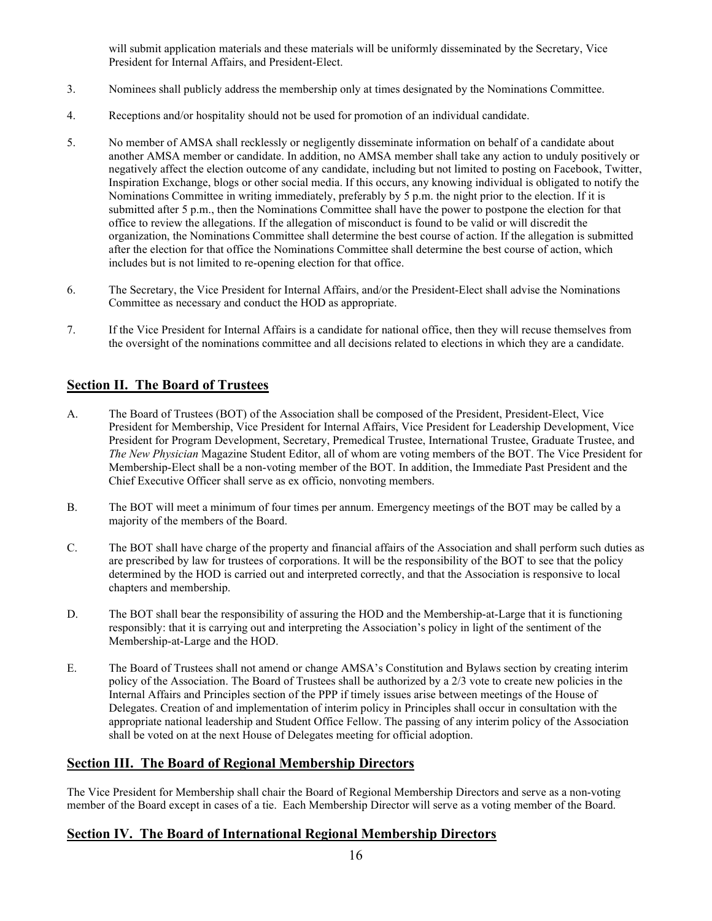will submit application materials and these materials will be uniformly disseminated by the Secretary, Vice President for Internal Affairs, and President-Elect.

- 3. Nominees shall publicly address the membership only at times designated by the Nominations Committee.
- 4. Receptions and/or hospitality should not be used for promotion of an individual candidate.
- 5. No member of AMSA shall recklessly or negligently disseminate information on behalf of a candidate about another AMSA member or candidate. In addition, no AMSA member shall take any action to unduly positively or negatively affect the election outcome of any candidate, including but not limited to posting on Facebook, Twitter, Inspiration Exchange, blogs or other social media. If this occurs, any knowing individual is obligated to notify the Nominations Committee in writing immediately, preferably by 5 p.m. the night prior to the election. If it is submitted after 5 p.m., then the Nominations Committee shall have the power to postpone the election for that office to review the allegations. If the allegation of misconduct is found to be valid or will discredit the organization, the Nominations Committee shall determine the best course of action. If the allegation is submitted after the election for that office the Nominations Committee shall determine the best course of action, which includes but is not limited to re-opening election for that office.
- 6. The Secretary, the Vice President for Internal Affairs, and/or the President-Elect shall advise the Nominations Committee as necessary and conduct the HOD as appropriate.
- 7. If the Vice President for Internal Affairs is a candidate for national office, then they will recuse themselves from the oversight of the nominations committee and all decisions related to elections in which they are a candidate.

### **Section II. The Board of Trustees**

- A. The Board of Trustees (BOT) of the Association shall be composed of the President, President-Elect, Vice President for Membership, Vice President for Internal Affairs, Vice President for Leadership Development, Vice President for Program Development, Secretary, Premedical Trustee, International Trustee, Graduate Trustee, and *The New Physician* Magazine Student Editor, all of whom are voting members of the BOT. The Vice President for Membership-Elect shall be a non-voting member of the BOT. In addition, the Immediate Past President and the Chief Executive Officer shall serve as ex officio, nonvoting members.
- B. The BOT will meet a minimum of four times per annum. Emergency meetings of the BOT may be called by a majority of the members of the Board.
- C. The BOT shall have charge of the property and financial affairs of the Association and shall perform such duties as are prescribed by law for trustees of corporations. It will be the responsibility of the BOT to see that the policy determined by the HOD is carried out and interpreted correctly, and that the Association is responsive to local chapters and membership.
- D. The BOT shall bear the responsibility of assuring the HOD and the Membership-at-Large that it is functioning responsibly: that it is carrying out and interpreting the Association's policy in light of the sentiment of the Membership-at-Large and the HOD.
- E. The Board of Trustees shall not amend or change AMSA's Constitution and Bylaws section by creating interim policy of the Association. The Board of Trustees shall be authorized by a 2/3 vote to create new policies in the Internal Affairs and Principles section of the PPP if timely issues arise between meetings of the House of Delegates. Creation of and implementation of interim policy in Principles shall occur in consultation with the appropriate national leadership and Student Office Fellow. The passing of any interim policy of the Association shall be voted on at the next House of Delegates meeting for official adoption.

### **Section III. The Board of Regional Membership Directors**

The Vice President for Membership shall chair the Board of Regional Membership Directors and serve as a non-voting member of the Board except in cases of a tie. Each Membership Director will serve as a voting member of the Board.

### **Section IV. The Board of International Regional Membership Directors**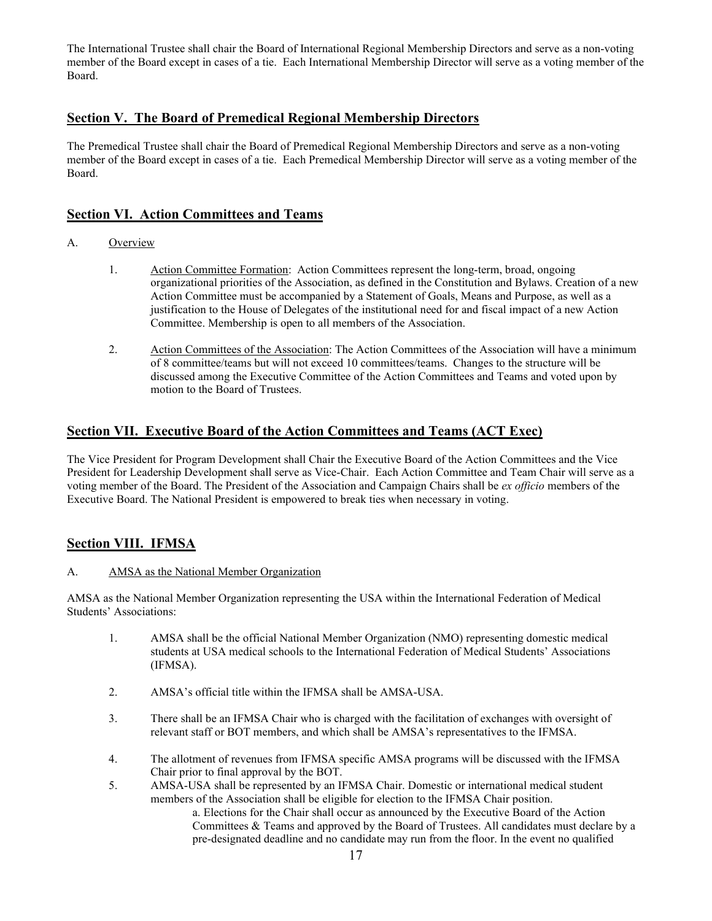The International Trustee shall chair the Board of International Regional Membership Directors and serve as a non-voting member of the Board except in cases of a tie. Each International Membership Director will serve as a voting member of the Board.

### **Section V. The Board of Premedical Regional Membership Directors**

The Premedical Trustee shall chair the Board of Premedical Regional Membership Directors and serve as a non-voting member of the Board except in cases of a tie. Each Premedical Membership Director will serve as a voting member of the Board.

### **Section VI. Action Committees and Teams**

- A. Overview
	- 1. Action Committee Formation: Action Committees represent the long-term, broad, ongoing organizational priorities of the Association, as defined in the Constitution and Bylaws. Creation of a new Action Committee must be accompanied by a Statement of Goals, Means and Purpose, as well as a justification to the House of Delegates of the institutional need for and fiscal impact of a new Action Committee. Membership is open to all members of the Association.
	- 2. Action Committees of the Association: The Action Committees of the Association will have a minimum of 8 committee/teams but will not exceed 10 committees/teams. Changes to the structure will be discussed among the Executive Committee of the Action Committees and Teams and voted upon by motion to the Board of Trustees.

### **Section VII. Executive Board of the Action Committees and Teams (ACT Exec)**

The Vice President for Program Development shall Chair the Executive Board of the Action Committees and the Vice President for Leadership Development shall serve as Vice-Chair. Each Action Committee and Team Chair will serve as a voting member of the Board. The President of the Association and Campaign Chairs shall be *ex officio* members of the Executive Board. The National President is empowered to break ties when necessary in voting.

## **Section VIII. IFMSA**

### A. AMSA as the National Member Organization

AMSA as the National Member Organization representing the USA within the International Federation of Medical Students' Associations:

- 1. AMSA shall be the official National Member Organization (NMO) representing domestic medical students at USA medical schools to the International Federation of Medical Students' Associations (IFMSA).
- 2. AMSA's official title within the IFMSA shall be AMSA-USA.
- 3. There shall be an IFMSA Chair who is charged with the facilitation of exchanges with oversight of relevant staff or BOT members, and which shall be AMSA's representatives to the IFMSA.
- 4. The allotment of revenues from IFMSA specific AMSA programs will be discussed with the IFMSA Chair prior to final approval by the BOT.
- 5. AMSA-USA shall be represented by an IFMSA Chair. Domestic or international medical student members of the Association shall be eligible for election to the IFMSA Chair position.

a. Elections for the Chair shall occur as announced by the Executive Board of the Action Committees & Teams and approved by the Board of Trustees. All candidates must declare by a pre-designated deadline and no candidate may run from the floor. In the event no qualified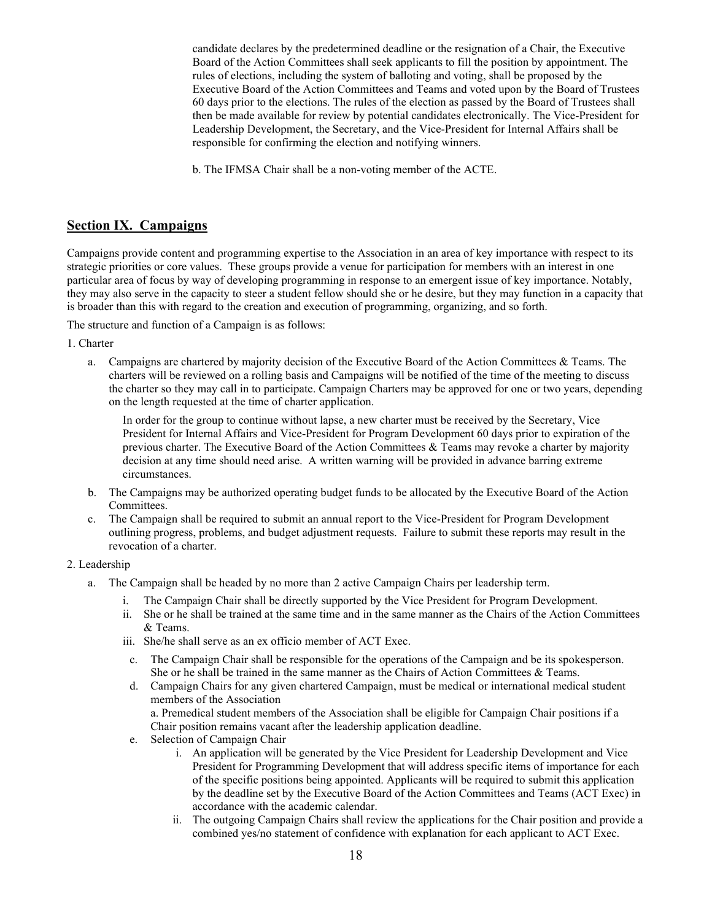candidate declares by the predetermined deadline or the resignation of a Chair, the Executive Board of the Action Committees shall seek applicants to fill the position by appointment. The rules of elections, including the system of balloting and voting, shall be proposed by the Executive Board of the Action Committees and Teams and voted upon by the Board of Trustees 60 days prior to the elections. The rules of the election as passed by the Board of Trustees shall then be made available for review by potential candidates electronically. The Vice-President for Leadership Development, the Secretary, and the Vice-President for Internal Affairs shall be responsible for confirming the election and notifying winners.

b. The IFMSA Chair shall be a non-voting member of the ACTE.

### **Section IX. Campaigns**

Campaigns provide content and programming expertise to the Association in an area of key importance with respect to its strategic priorities or core values. These groups provide a venue for participation for members with an interest in one particular area of focus by way of developing programming in response to an emergent issue of key importance. Notably, they may also serve in the capacity to steer a student fellow should she or he desire, but they may function in a capacity that is broader than this with regard to the creation and execution of programming, organizing, and so forth.

The structure and function of a Campaign is as follows:

1. Charter

a. Campaigns are chartered by majority decision of the Executive Board of the Action Committees & Teams. The charters will be reviewed on a rolling basis and Campaigns will be notified of the time of the meeting to discuss the charter so they may call in to participate. Campaign Charters may be approved for one or two years, depending on the length requested at the time of charter application.

In order for the group to continue without lapse, a new charter must be received by the Secretary, Vice President for Internal Affairs and Vice-President for Program Development 60 days prior to expiration of the previous charter. The Executive Board of the Action Committees & Teams may revoke a charter by majority decision at any time should need arise. A written warning will be provided in advance barring extreme circumstances.

- b. The Campaigns may be authorized operating budget funds to be allocated by the Executive Board of the Action Committees.
- c. The Campaign shall be required to submit an annual report to the Vice-President for Program Development outlining progress, problems, and budget adjustment requests. Failure to submit these reports may result in the revocation of a charter.

#### 2. Leadership

- a. The Campaign shall be headed by no more than 2 active Campaign Chairs per leadership term.
	- i. The Campaign Chair shall be directly supported by the Vice President for Program Development.
	- ii. She or he shall be trained at the same time and in the same manner as the Chairs of the Action Committees & Teams.
	- iii. She/he shall serve as an ex officio member of ACT Exec.
	- c. The Campaign Chair shall be responsible for the operations of the Campaign and be its spokesperson. She or he shall be trained in the same manner as the Chairs of Action Committees & Teams.
	- d. Campaign Chairs for any given chartered Campaign, must be medical or international medical student members of the Association

a. Premedical student members of the Association shall be eligible for Campaign Chair positions if a Chair position remains vacant after the leadership application deadline.

- e. Selection of Campaign Chair
	- i. An application will be generated by the Vice President for Leadership Development and Vice President for Programming Development that will address specific items of importance for each of the specific positions being appointed. Applicants will be required to submit this application by the deadline set by the Executive Board of the Action Committees and Teams (ACT Exec) in accordance with the academic calendar.
	- ii. The outgoing Campaign Chairs shall review the applications for the Chair position and provide a combined yes/no statement of confidence with explanation for each applicant to ACT Exec.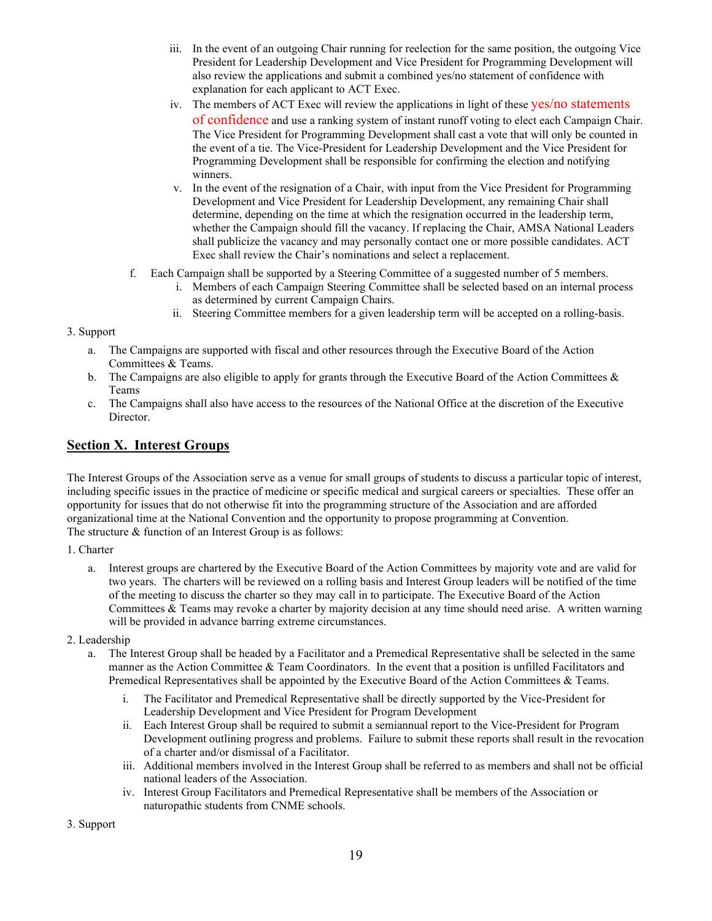- iii. In the event of an outgoing Chair running for reelection for the same position, the outgoing Vice President for Leadership Development and Vice President for Programming Development will also review the applications and submit a combined yes/no statement of confidence with explanation for each applicant to ACT Exec.
- iv. The members of ACT Exec will review the applications in light of these yes/no statements of confidence and use a ranking system of instant runoff voting to elect each Campaign Chair. The Vice President for Programming Development shall cast a vote that will only be counted in the event of a tie. The Vice-President for Leadership Development and the Vice President for Programming Development shall be responsible for confirming the election and notifying winners.
- v. In the event of the resignation of a Chair, with input from the Vice President for Programming Development and Vice President for Leadership Development, any remaining Chair shall determine, depending on the time at which the resignation occurred in the leadership term, whether the Campaign should fill the vacancy. If replacing the Chair, AMSA National Leaders shall publicize the vacancy and may personally contact one or more possible candidates. ACT Exec shall review the Chair's nominations and select a replacement.
- f. Each Campaign shall be supported by a Steering Committee of a suggested number of 5 members.
	- i. Members of each Campaign Steering Committee shall be selected based on an internal process as determined by current Campaign Chairs.
	- ii. Steering Committee members for a given leadership term will be accepted on a rolling-basis.

#### 3. Support

- a. The Campaigns are supported with fiscal and other resources through the Executive Board of the Action Committees & Teams.
- b. The Campaigns are also eligible to apply for grants through the Executive Board of the Action Committees  $\&$ Teams
- c. The Campaigns shall also have access to the resources of the National Office at the discretion of the Executive Director.

### **Section X. Interest Groups**

The Interest Groups of the Association serve as a venue for small groups of students to discuss a particular topic of interest, including specific issues in the practice of medicine or specific medical and surgical careers or specialties. These offer an opportunity for issues that do not otherwise fit into the programming structure of the Association and are afforded organizational time at the National Convention and the opportunity to propose programming at Convention. The structure & function of an Interest Group is as follows:

#### 1. Charter

a. Interest groups are chartered by the Executive Board of the Action Committees by majority vote and are valid for two years. The charters will be reviewed on a rolling basis and Interest Group leaders will be notified of the time of the meeting to discuss the charter so they may call in to participate. The Executive Board of the Action Committees & Teams may revoke a charter by majority decision at any time should need arise. A written warning will be provided in advance barring extreme circumstances.

#### 2. Leadership

- a. The Interest Group shall be headed by a Facilitator and a Premedical Representative shall be selected in the same manner as the Action Committee & Team Coordinators. In the event that a position is unfilled Facilitators and Premedical Representatives shall be appointed by the Executive Board of the Action Committees & Teams.
	- i. The Facilitator and Premedical Representative shall be directly supported by the Vice-President for Leadership Development and Vice President for Program Development
	- ii. Each Interest Group shall be required to submit a semiannual report to the Vice-President for Program Development outlining progress and problems. Failure to submit these reports shall result in the revocation of a charter and/or dismissal of a Facilitator.
	- iii. Additional members involved in the Interest Group shall be referred to as members and shall not be official national leaders of the Association.
	- iv. Interest Group Facilitators and Premedical Representative shall be members of the Association or naturopathic students from CNME schools.

3. Support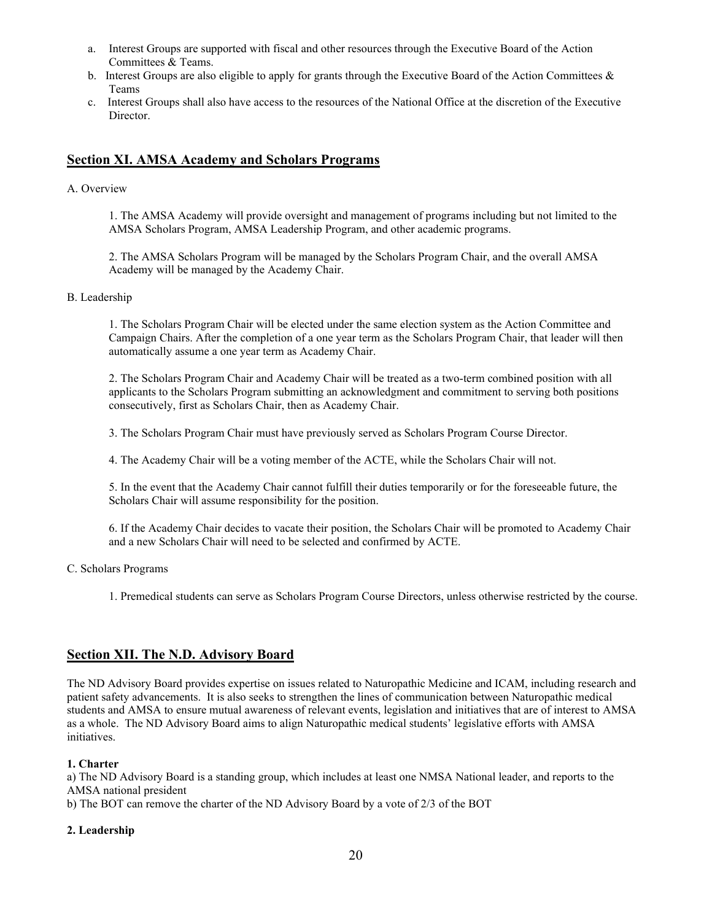- a. Interest Groups are supported with fiscal and other resources through the Executive Board of the Action Committees & Teams.
- b. Interest Groups are also eligible to apply for grants through the Executive Board of the Action Committees & Teams
- c. Interest Groups shall also have access to the resources of the National Office at the discretion of the Executive Director.

### **Section XI. AMSA Academy and Scholars Programs**

#### A. Overview

1. The AMSA Academy will provide oversight and management of programs including but not limited to the AMSA Scholars Program, AMSA Leadership Program, and other academic programs.

2. The AMSA Scholars Program will be managed by the Scholars Program Chair, and the overall AMSA Academy will be managed by the Academy Chair.

#### B. Leadership

1. The Scholars Program Chair will be elected under the same election system as the Action Committee and Campaign Chairs. After the completion of a one year term as the Scholars Program Chair, that leader will then automatically assume a one year term as Academy Chair.

2. The Scholars Program Chair and Academy Chair will be treated as a two-term combined position with all applicants to the Scholars Program submitting an acknowledgment and commitment to serving both positions consecutively, first as Scholars Chair, then as Academy Chair.

3. The Scholars Program Chair must have previously served as Scholars Program Course Director.

4. The Academy Chair will be a voting member of the ACTE, while the Scholars Chair will not.

5. In the event that the Academy Chair cannot fulfill their duties temporarily or for the foreseeable future, the Scholars Chair will assume responsibility for the position.

6. If the Academy Chair decides to vacate their position, the Scholars Chair will be promoted to Academy Chair and a new Scholars Chair will need to be selected and confirmed by ACTE.

#### C. Scholars Programs

1. Premedical students can serve as Scholars Program Course Directors, unless otherwise restricted by the course.

#### **Section XII. The N.D. Advisory Board**

The ND Advisory Board provides expertise on issues related to Naturopathic Medicine and ICAM, including research and patient safety advancements. It is also seeks to strengthen the lines of communication between Naturopathic medical students and AMSA to ensure mutual awareness of relevant events, legislation and initiatives that are of interest to AMSA as a whole. The ND Advisory Board aims to align Naturopathic medical students' legislative efforts with AMSA initiatives.

#### **1. Charter**

a) The ND Advisory Board is a standing group, which includes at least one NMSA National leader, and reports to the AMSA national president

b) The BOT can remove the charter of the ND Advisory Board by a vote of 2/3 of the BOT

#### **2. Leadership**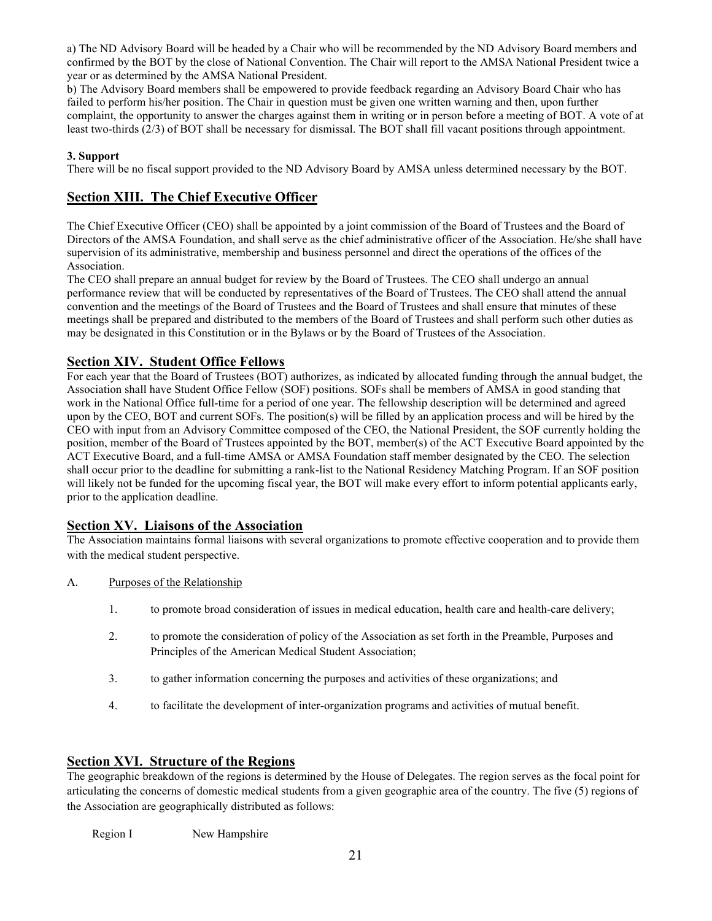a) The ND Advisory Board will be headed by a Chair who will be recommended by the ND Advisory Board members and confirmed by the BOT by the close of National Convention. The Chair will report to the AMSA National President twice a year or as determined by the AMSA National President.

b) The Advisory Board members shall be empowered to provide feedback regarding an Advisory Board Chair who has failed to perform his/her position. The Chair in question must be given one written warning and then, upon further complaint, the opportunity to answer the charges against them in writing or in person before a meeting of BOT. A vote of at least two-thirds (2/3) of BOT shall be necessary for dismissal. The BOT shall fill vacant positions through appointment.

#### **3. Support**

There will be no fiscal support provided to the ND Advisory Board by AMSA unless determined necessary by the BOT.

### **Section XIII. The Chief Executive Officer**

The Chief Executive Officer (CEO) shall be appointed by a joint commission of the Board of Trustees and the Board of Directors of the AMSA Foundation, and shall serve as the chief administrative officer of the Association. He/she shall have supervision of its administrative, membership and business personnel and direct the operations of the offices of the Association.

The CEO shall prepare an annual budget for review by the Board of Trustees. The CEO shall undergo an annual performance review that will be conducted by representatives of the Board of Trustees. The CEO shall attend the annual convention and the meetings of the Board of Trustees and the Board of Trustees and shall ensure that minutes of these meetings shall be prepared and distributed to the members of the Board of Trustees and shall perform such other duties as may be designated in this Constitution or in the Bylaws or by the Board of Trustees of the Association.

### **Section XIV. Student Office Fellows**

For each year that the Board of Trustees (BOT) authorizes, as indicated by allocated funding through the annual budget, the Association shall have Student Office Fellow (SOF) positions. SOFs shall be members of AMSA in good standing that work in the National Office full-time for a period of one year. The fellowship description will be determined and agreed upon by the CEO, BOT and current SOFs. The position(s) will be filled by an application process and will be hired by the CEO with input from an Advisory Committee composed of the CEO, the National President, the SOF currently holding the position, member of the Board of Trustees appointed by the BOT, member(s) of the ACT Executive Board appointed by the ACT Executive Board, and a full-time AMSA or AMSA Foundation staff member designated by the CEO. The selection shall occur prior to the deadline for submitting a rank-list to the National Residency Matching Program. If an SOF position will likely not be funded for the upcoming fiscal year, the BOT will make every effort to inform potential applicants early, prior to the application deadline.

### **Section XV. Liaisons of the Association**

The Association maintains formal liaisons with several organizations to promote effective cooperation and to provide them with the medical student perspective.

- A. Purposes of the Relationship
	- 1. to promote broad consideration of issues in medical education, health care and health-care delivery;
	- 2. to promote the consideration of policy of the Association as set forth in the Preamble, Purposes and Principles of the American Medical Student Association;
	- 3. to gather information concerning the purposes and activities of these organizations; and
	- 4. to facilitate the development of inter-organization programs and activities of mutual benefit.

### **Section XVI. Structure of the Regions**

The geographic breakdown of the regions is determined by the House of Delegates. The region serves as the focal point for articulating the concerns of domestic medical students from a given geographic area of the country. The five (5) regions of the Association are geographically distributed as follows:

Region I New Hampshire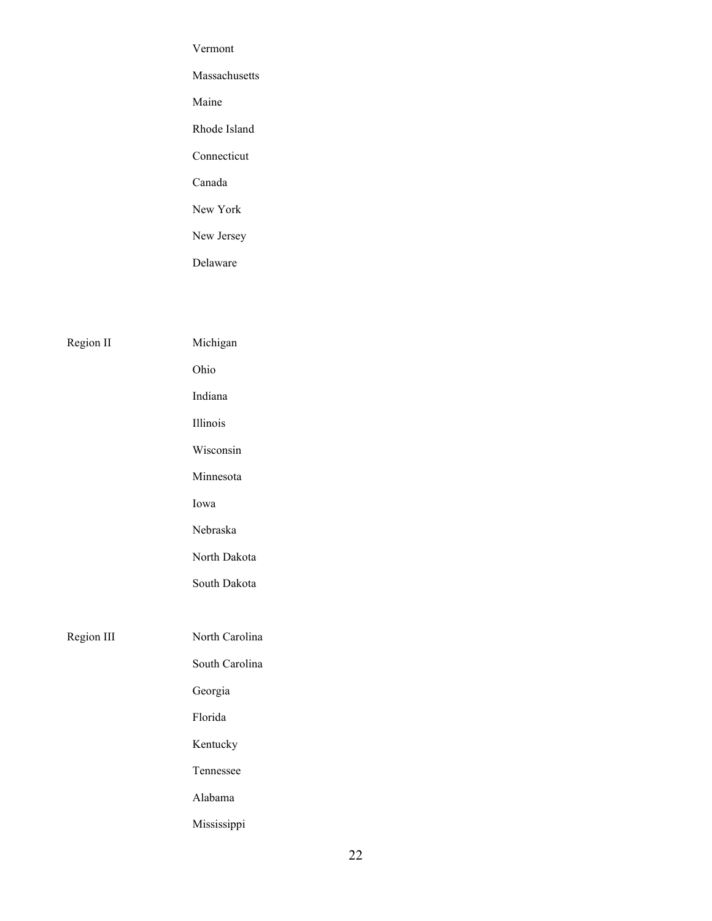|            | Vermont         |
|------------|-----------------|
|            | Massachusetts   |
|            | Maine           |
|            | Rhode Island    |
|            | Connecticut     |
|            | Canada          |
|            | New York        |
|            | New Jersey      |
|            | Delaware        |
|            |                 |
|            |                 |
| Region II  | Michigan        |
|            | Ohio            |
|            | Indiana         |
|            | Illinois        |
|            | Wisconsin       |
|            | Minnesota       |
|            | Iowa            |
|            | Nebraska        |
|            | North Dakota    |
|            | South Dakota    |
|            |                 |
| Region III | North Carolina  |
|            | South Carolina  |
|            | Georgia         |
|            | ${\rm Florida}$ |
|            | Kentucky        |

Tennessee

Alabama

Mississippi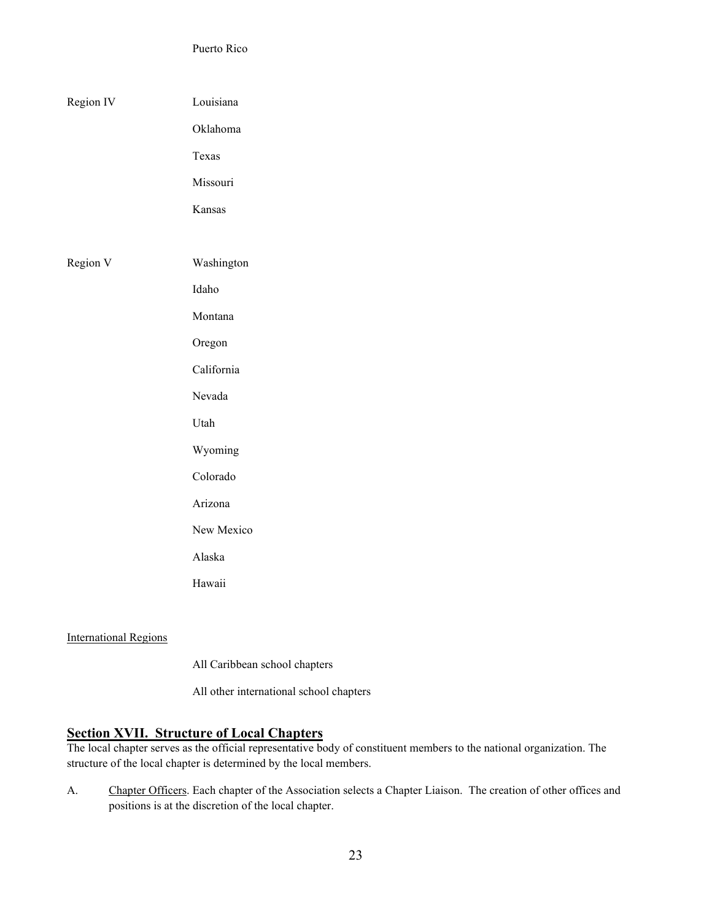Puerto Rico

| Region IV | Louisiana   |
|-----------|-------------|
|           | Oklahoma    |
|           | Texas       |
|           | Missouri    |
|           | Kansas      |
|           |             |
| Region V  | Washington  |
|           | $\rm Idaho$ |
|           | Montana     |
|           | Oregon      |
|           | California  |
|           | Nevada      |
|           | Utah        |
|           | Wyoming     |
|           | Colorado    |
|           | Arizona     |
|           | New Mexico  |
|           | Alaska      |
|           | Hawaii      |
|           |             |
|           |             |

International Regions

All Caribbean school chapters

All other international school chapters

### **Section XVII. Structure of Local Chapters**

The local chapter serves as the official representative body of constituent members to the national organization. The structure of the local chapter is determined by the local members.

A. Chapter Officers. Each chapter of the Association selects a Chapter Liaison. The creation of other offices and positions is at the discretion of the local chapter.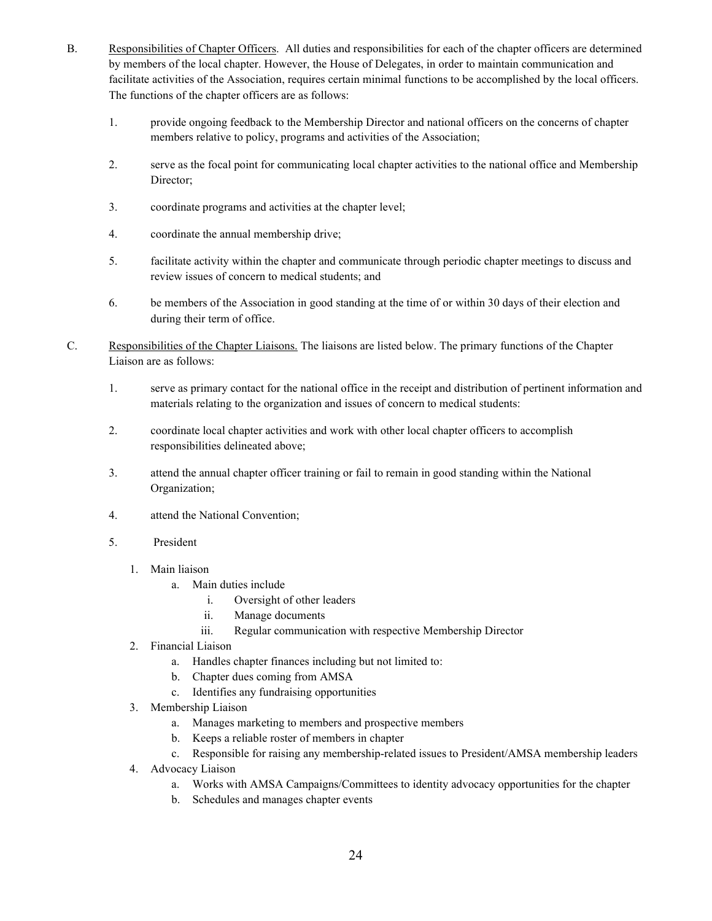- B. Responsibilities of Chapter Officers. All duties and responsibilities for each of the chapter officers are determined by members of the local chapter. However, the House of Delegates, in order to maintain communication and facilitate activities of the Association, requires certain minimal functions to be accomplished by the local officers. The functions of the chapter officers are as follows:
	- 1. provide ongoing feedback to the Membership Director and national officers on the concerns of chapter members relative to policy, programs and activities of the Association;
	- 2. serve as the focal point for communicating local chapter activities to the national office and Membership Director;
	- 3. coordinate programs and activities at the chapter level;
	- 4. coordinate the annual membership drive;
	- 5. facilitate activity within the chapter and communicate through periodic chapter meetings to discuss and review issues of concern to medical students; and
	- 6. be members of the Association in good standing at the time of or within 30 days of their election and during their term of office.
- C. Responsibilities of the Chapter Liaisons. The liaisons are listed below. The primary functions of the Chapter Liaison are as follows:
	- 1. serve as primary contact for the national office in the receipt and distribution of pertinent information and materials relating to the organization and issues of concern to medical students:
	- 2. coordinate local chapter activities and work with other local chapter officers to accomplish responsibilities delineated above;
	- 3. attend the annual chapter officer training or fail to remain in good standing within the National Organization;
	- 4. attend the National Convention;
	- 5. President
		- 1. Main liaison
			- a. Main duties include
				- i. Oversight of other leaders
				- ii. Manage documents
				- iii. Regular communication with respective Membership Director
		- 2. Financial Liaison
			- a. Handles chapter finances including but not limited to:
			- b. Chapter dues coming from AMSA
			- c. Identifies any fundraising opportunities
		- 3. Membership Liaison
			- a. Manages marketing to members and prospective members
			- b. Keeps a reliable roster of members in chapter
			- c. Responsible for raising any membership-related issues to President/AMSA membership leaders
		- 4. Advocacy Liaison
			- a. Works with AMSA Campaigns/Committees to identity advocacy opportunities for the chapter
			- b. Schedules and manages chapter events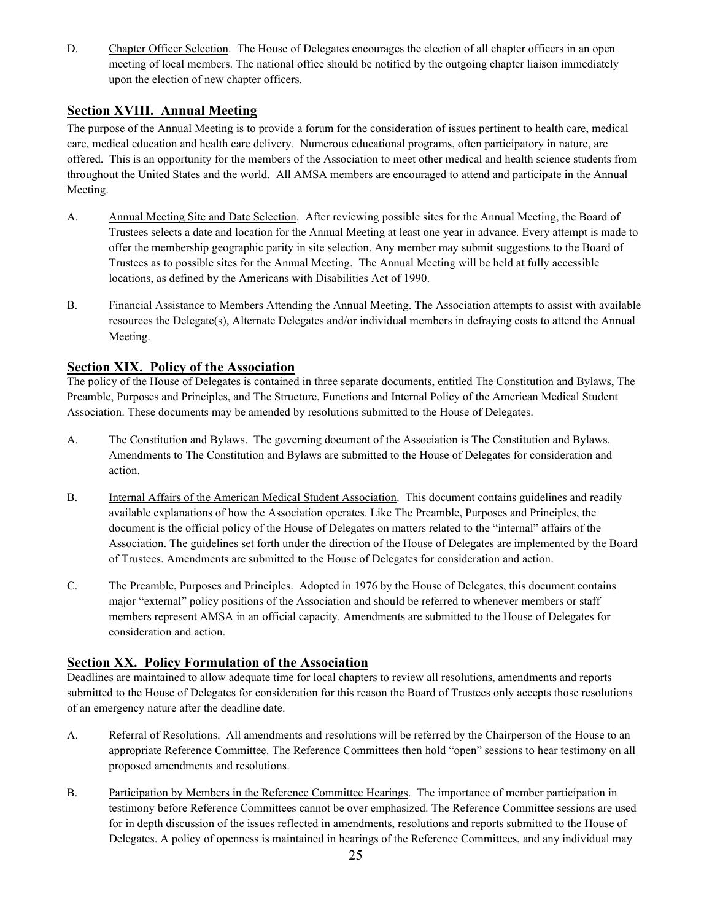D. Chapter Officer Selection. The House of Delegates encourages the election of all chapter officers in an open meeting of local members. The national office should be notified by the outgoing chapter liaison immediately upon the election of new chapter officers.

### **Section XVIII. Annual Meeting**

The purpose of the Annual Meeting is to provide a forum for the consideration of issues pertinent to health care, medical care, medical education and health care delivery. Numerous educational programs, often participatory in nature, are offered. This is an opportunity for the members of the Association to meet other medical and health science students from throughout the United States and the world. All AMSA members are encouraged to attend and participate in the Annual Meeting.

- A. Annual Meeting Site and Date Selection. After reviewing possible sites for the Annual Meeting, the Board of Trustees selects a date and location for the Annual Meeting at least one year in advance. Every attempt is made to offer the membership geographic parity in site selection. Any member may submit suggestions to the Board of Trustees as to possible sites for the Annual Meeting. The Annual Meeting will be held at fully accessible locations, as defined by the Americans with Disabilities Act of 1990.
- B. Financial Assistance to Members Attending the Annual Meeting. The Association attempts to assist with available resources the Delegate(s), Alternate Delegates and/or individual members in defraying costs to attend the Annual Meeting.

### **Section XIX. Policy of the Association**

The policy of the House of Delegates is contained in three separate documents, entitled The Constitution and Bylaws, The Preamble, Purposes and Principles, and The Structure, Functions and Internal Policy of the American Medical Student Association. These documents may be amended by resolutions submitted to the House of Delegates.

- A. The Constitution and Bylaws. The governing document of the Association is The Constitution and Bylaws. Amendments to The Constitution and Bylaws are submitted to the House of Delegates for consideration and action.
- B. Internal Affairs of the American Medical Student Association. This document contains guidelines and readily available explanations of how the Association operates. Like The Preamble, Purposes and Principles, the document is the official policy of the House of Delegates on matters related to the "internal" affairs of the Association. The guidelines set forth under the direction of the House of Delegates are implemented by the Board of Trustees. Amendments are submitted to the House of Delegates for consideration and action.
- C. The Preamble, Purposes and Principles. Adopted in 1976 by the House of Delegates, this document contains major "external" policy positions of the Association and should be referred to whenever members or staff members represent AMSA in an official capacity. Amendments are submitted to the House of Delegates for consideration and action.

### **Section XX. Policy Formulation of the Association**

Deadlines are maintained to allow adequate time for local chapters to review all resolutions, amendments and reports submitted to the House of Delegates for consideration for this reason the Board of Trustees only accepts those resolutions of an emergency nature after the deadline date.

- A. Referral of Resolutions. All amendments and resolutions will be referred by the Chairperson of the House to an appropriate Reference Committee. The Reference Committees then hold "open" sessions to hear testimony on all proposed amendments and resolutions.
- B. Participation by Members in the Reference Committee Hearings. The importance of member participation in testimony before Reference Committees cannot be over emphasized. The Reference Committee sessions are used for in depth discussion of the issues reflected in amendments, resolutions and reports submitted to the House of Delegates. A policy of openness is maintained in hearings of the Reference Committees, and any individual may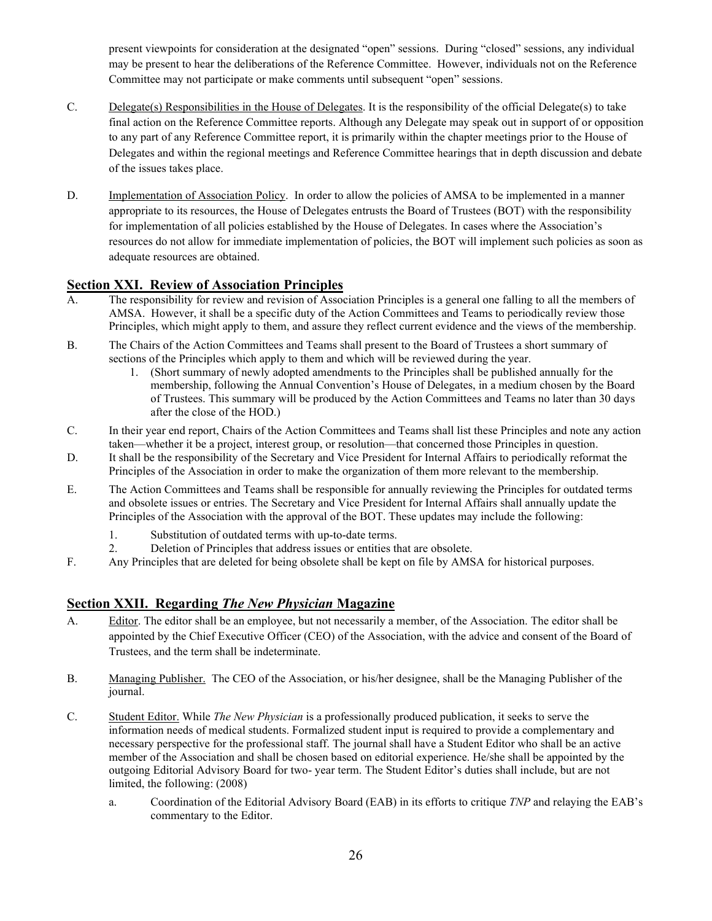present viewpoints for consideration at the designated "open" sessions. During "closed" sessions, any individual may be present to hear the deliberations of the Reference Committee. However, individuals not on the Reference Committee may not participate or make comments until subsequent "open" sessions.

- C. Delegate(s) Responsibilities in the House of Delegates. It is the responsibility of the official Delegate(s) to take final action on the Reference Committee reports. Although any Delegate may speak out in support of or opposition to any part of any Reference Committee report, it is primarily within the chapter meetings prior to the House of Delegates and within the regional meetings and Reference Committee hearings that in depth discussion and debate of the issues takes place.
- D. Implementation of Association Policy. In order to allow the policies of AMSA to be implemented in a manner appropriate to its resources, the House of Delegates entrusts the Board of Trustees (BOT) with the responsibility for implementation of all policies established by the House of Delegates. In cases where the Association's resources do not allow for immediate implementation of policies, the BOT will implement such policies as soon as adequate resources are obtained.

### **Section XXI. Review of Association Principles**

- A. The responsibility for review and revision of Association Principles is a general one falling to all the members of AMSA. However, it shall be a specific duty of the Action Committees and Teams to periodically review those Principles, which might apply to them, and assure they reflect current evidence and the views of the membership.
- B. The Chairs of the Action Committees and Teams shall present to the Board of Trustees a short summary of sections of the Principles which apply to them and which will be reviewed during the year.
	- 1. (Short summary of newly adopted amendments to the Principles shall be published annually for the membership, following the Annual Convention's House of Delegates, in a medium chosen by the Board of Trustees. This summary will be produced by the Action Committees and Teams no later than 30 days after the close of the HOD.)
- C. In their year end report, Chairs of the Action Committees and Teams shall list these Principles and note any action taken—whether it be a project, interest group, or resolution—that concerned those Principles in question.
- D. It shall be the responsibility of the Secretary and Vice President for Internal Affairs to periodically reformat the Principles of the Association in order to make the organization of them more relevant to the membership.
- E. The Action Committees and Teams shall be responsible for annually reviewing the Principles for outdated terms and obsolete issues or entries. The Secretary and Vice President for Internal Affairs shall annually update the Principles of the Association with the approval of the BOT. These updates may include the following:
	- 1. Substitution of outdated terms with up-to-date terms.
	- 2. Deletion of Principles that address issues or entities that are obsolete.
- F. Any Principles that are deleted for being obsolete shall be kept on file by AMSA for historical purposes.

### **Section XXII. Regarding** *The New Physician* **Magazine**

- A. Editor. The editor shall be an employee, but not necessarily a member, of the Association. The editor shall be appointed by the Chief Executive Officer (CEO) of the Association, with the advice and consent of the Board of Trustees, and the term shall be indeterminate.
- B. Managing Publisher. The CEO of the Association, or his/her designee, shall be the Managing Publisher of the journal.
- C. Student Editor. While *The New Physician* is a professionally produced publication, it seeks to serve the information needs of medical students. Formalized student input is required to provide a complementary and necessary perspective for the professional staff. The journal shall have a Student Editor who shall be an active member of the Association and shall be chosen based on editorial experience. He/she shall be appointed by the outgoing Editorial Advisory Board for two- year term. The Student Editor's duties shall include, but are not limited, the following: (2008)
	- a. Coordination of the Editorial Advisory Board (EAB) in its efforts to critique *TNP* and relaying the EAB's commentary to the Editor.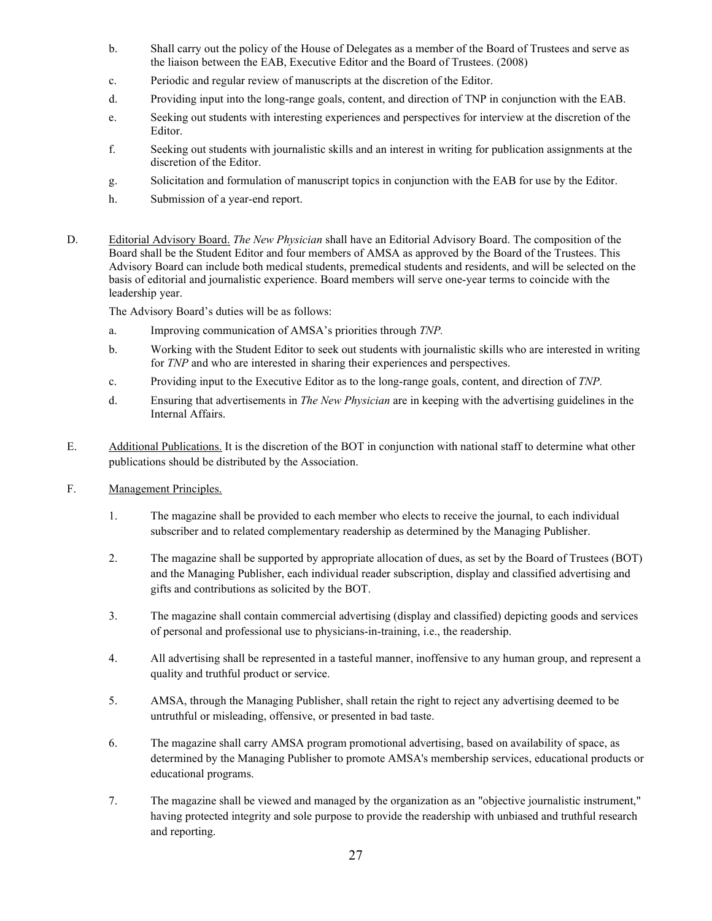- b. Shall carry out the policy of the House of Delegates as a member of the Board of Trustees and serve as the liaison between the EAB, Executive Editor and the Board of Trustees. (2008)
- c. Periodic and regular review of manuscripts at the discretion of the Editor.
- d. Providing input into the long-range goals, content, and direction of TNP in conjunction with the EAB.
- e. Seeking out students with interesting experiences and perspectives for interview at the discretion of the Editor.
- f. Seeking out students with journalistic skills and an interest in writing for publication assignments at the discretion of the Editor.
- g. Solicitation and formulation of manuscript topics in conjunction with the EAB for use by the Editor.
- h. Submission of a year-end report.
- D. Editorial Advisory Board. *The New Physician* shall have an Editorial Advisory Board. The composition of the Board shall be the Student Editor and four members of AMSA as approved by the Board of the Trustees. This Advisory Board can include both medical students, premedical students and residents, and will be selected on the basis of editorial and journalistic experience. Board members will serve one-year terms to coincide with the leadership year.

The Advisory Board's duties will be as follows:

- a. Improving communication of AMSA's priorities through *TNP.*
- b. Working with the Student Editor to seek out students with journalistic skills who are interested in writing for *TNP* and who are interested in sharing their experiences and perspectives.
- c. Providing input to the Executive Editor as to the long-range goals, content, and direction of *TNP.*
- d. Ensuring that advertisements in *The New Physician* are in keeping with the advertising guidelines in the Internal Affairs.
- E. Additional Publications. It is the discretion of the BOT in conjunction with national staff to determine what other publications should be distributed by the Association.
- F. Management Principles.
	- 1. The magazine shall be provided to each member who elects to receive the journal, to each individual subscriber and to related complementary readership as determined by the Managing Publisher.
	- 2. The magazine shall be supported by appropriate allocation of dues, as set by the Board of Trustees (BOT) and the Managing Publisher, each individual reader subscription, display and classified advertising and gifts and contributions as solicited by the BOT.
	- 3. The magazine shall contain commercial advertising (display and classified) depicting goods and services of personal and professional use to physicians-in-training, i.e., the readership.
	- 4. All advertising shall be represented in a tasteful manner, inoffensive to any human group, and represent a quality and truthful product or service.
	- 5. AMSA, through the Managing Publisher, shall retain the right to reject any advertising deemed to be untruthful or misleading, offensive, or presented in bad taste.
	- 6. The magazine shall carry AMSA program promotional advertising, based on availability of space, as determined by the Managing Publisher to promote AMSA's membership services, educational products or educational programs.
	- 7. The magazine shall be viewed and managed by the organization as an "objective journalistic instrument," having protected integrity and sole purpose to provide the readership with unbiased and truthful research and reporting.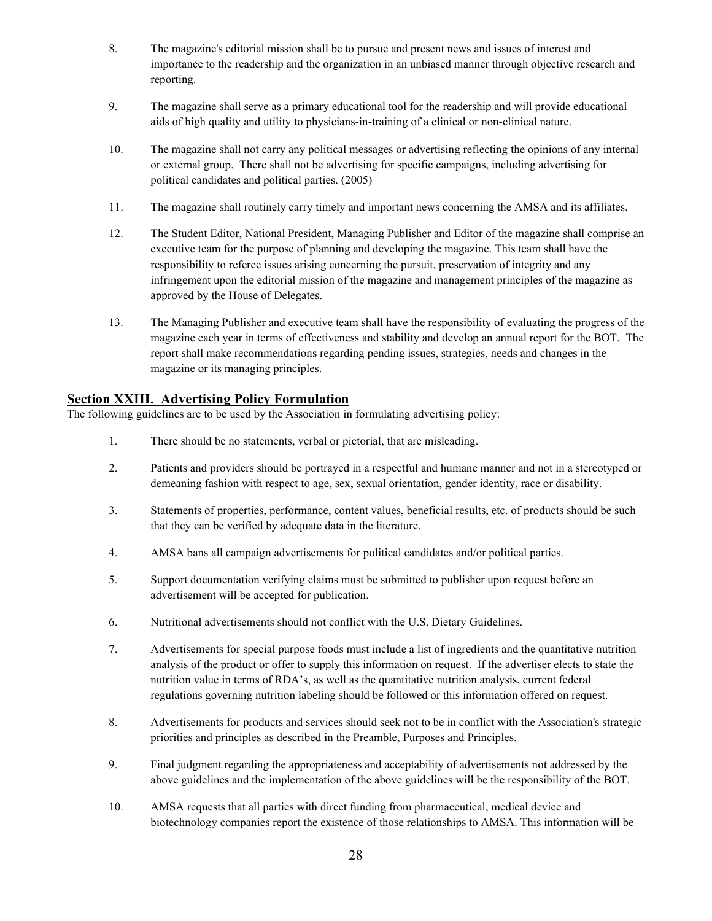- 8. The magazine's editorial mission shall be to pursue and present news and issues of interest and importance to the readership and the organization in an unbiased manner through objective research and reporting.
- 9. The magazine shall serve as a primary educational tool for the readership and will provide educational aids of high quality and utility to physicians-in-training of a clinical or non-clinical nature.
- 10. The magazine shall not carry any political messages or advertising reflecting the opinions of any internal or external group. There shall not be advertising for specific campaigns, including advertising for political candidates and political parties. (2005)
- 11. The magazine shall routinely carry timely and important news concerning the AMSA and its affiliates.
- 12. The Student Editor, National President, Managing Publisher and Editor of the magazine shall comprise an executive team for the purpose of planning and developing the magazine. This team shall have the responsibility to referee issues arising concerning the pursuit, preservation of integrity and any infringement upon the editorial mission of the magazine and management principles of the magazine as approved by the House of Delegates.
- 13. The Managing Publisher and executive team shall have the responsibility of evaluating the progress of the magazine each year in terms of effectiveness and stability and develop an annual report for the BOT. The report shall make recommendations regarding pending issues, strategies, needs and changes in the magazine or its managing principles.

### **Section XXIII. Advertising Policy Formulation**

The following guidelines are to be used by the Association in formulating advertising policy:

- 1. There should be no statements, verbal or pictorial, that are misleading.
- 2. Patients and providers should be portrayed in a respectful and humane manner and not in a stereotyped or demeaning fashion with respect to age, sex, sexual orientation, gender identity, race or disability.
- 3. Statements of properties, performance, content values, beneficial results, etc. of products should be such that they can be verified by adequate data in the literature.
- 4. AMSA bans all campaign advertisements for political candidates and/or political parties.
- 5. Support documentation verifying claims must be submitted to publisher upon request before an advertisement will be accepted for publication.
- 6. Nutritional advertisements should not conflict with the U.S. Dietary Guidelines.
- 7. Advertisements for special purpose foods must include a list of ingredients and the quantitative nutrition analysis of the product or offer to supply this information on request. If the advertiser elects to state the nutrition value in terms of RDA's, as well as the quantitative nutrition analysis, current federal regulations governing nutrition labeling should be followed or this information offered on request.
- 8. Advertisements for products and services should seek not to be in conflict with the Association's strategic priorities and principles as described in the Preamble, Purposes and Principles.
- 9. Final judgment regarding the appropriateness and acceptability of advertisements not addressed by the above guidelines and the implementation of the above guidelines will be the responsibility of the BOT.
- 10. AMSA requests that all parties with direct funding from pharmaceutical, medical device and biotechnology companies report the existence of those relationships to AMSA. This information will be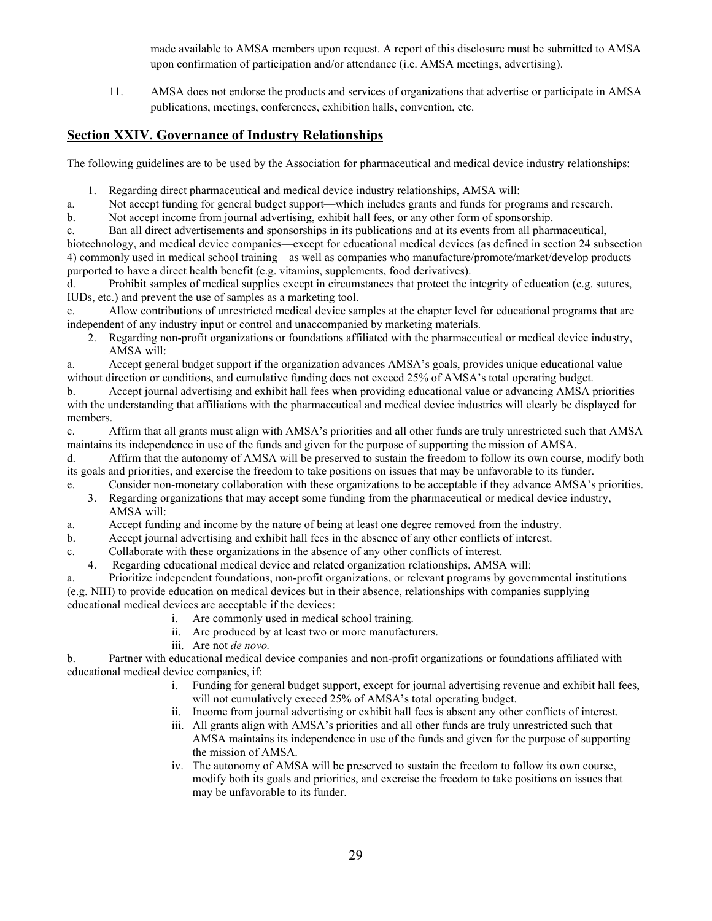made available to AMSA members upon request. A report of this disclosure must be submitted to AMSA upon confirmation of participation and/or attendance (i.e. AMSA meetings, advertising).

11. AMSA does not endorse the products and services of organizations that advertise or participate in AMSA publications, meetings, conferences, exhibition halls, convention, etc.

## **Section XXIV. Governance of Industry Relationships**

The following guidelines are to be used by the Association for pharmaceutical and medical device industry relationships:

1. Regarding direct pharmaceutical and medical device industry relationships, AMSA will:

a. Not accept funding for general budget support—which includes grants and funds for programs and research.

b. Not accept income from journal advertising, exhibit hall fees, or any other form of sponsorship.

c. Ban all direct advertisements and sponsorships in its publications and at its events from all pharmaceutical,

biotechnology, and medical device companies—except for educational medical devices (as defined in section 24 subsection 4) commonly used in medical school training—as well as companies who manufacture/promote/market/develop products purported to have a direct health benefit (e.g. vitamins, supplements, food derivatives).

d. Prohibit samples of medical supplies except in circumstances that protect the integrity of education (e.g. sutures, IUDs, etc.) and prevent the use of samples as a marketing tool.

e. Allow contributions of unrestricted medical device samples at the chapter level for educational programs that are independent of any industry input or control and unaccompanied by marketing materials.

2. Regarding non-profit organizations or foundations affiliated with the pharmaceutical or medical device industry, AMSA will:

a. Accept general budget support if the organization advances AMSA's goals, provides unique educational value without direction or conditions, and cumulative funding does not exceed 25% of AMSA's total operating budget.

b. Accept journal advertising and exhibit hall fees when providing educational value or advancing AMSA priorities with the understanding that affiliations with the pharmaceutical and medical device industries will clearly be displayed for members.

c. Affirm that all grants must align with AMSA's priorities and all other funds are truly unrestricted such that AMSA maintains its independence in use of the funds and given for the purpose of supporting the mission of AMSA.

d. Affirm that the autonomy of AMSA will be preserved to sustain the freedom to follow its own course, modify both its goals and priorities, and exercise the freedom to take positions on issues that may be unfavorable to its funder.

e. Consider non-monetary collaboration with these organizations to be acceptable if they advance AMSA's priorities. 3. Regarding organizations that may accept some funding from the pharmaceutical or medical device industry, AMSA will:

a. Accept funding and income by the nature of being at least one degree removed from the industry.

b. Accept journal advertising and exhibit hall fees in the absence of any other conflicts of interest.

c. Collaborate with these organizations in the absence of any other conflicts of interest.

4. Regarding educational medical device and related organization relationships, AMSA will:

a. Prioritize independent foundations, non-profit organizations, or relevant programs by governmental institutions (e.g. NIH) to provide education on medical devices but in their absence, relationships with companies supplying educational medical devices are acceptable if the devices:

- i. Are commonly used in medical school training.
- ii. Are produced by at least two or more manufacturers.
- iii. Are not *de novo.*

b. Partner with educational medical device companies and non-profit organizations or foundations affiliated with educational medical device companies, if:

- i. Funding for general budget support, except for journal advertising revenue and exhibit hall fees, will not cumulatively exceed 25% of AMSA's total operating budget.
- ii. Income from journal advertising or exhibit hall fees is absent any other conflicts of interest.
- iii. All grants align with AMSA's priorities and all other funds are truly unrestricted such that AMSA maintains its independence in use of the funds and given for the purpose of supporting the mission of AMSA.
- iv. The autonomy of AMSA will be preserved to sustain the freedom to follow its own course, modify both its goals and priorities, and exercise the freedom to take positions on issues that may be unfavorable to its funder.